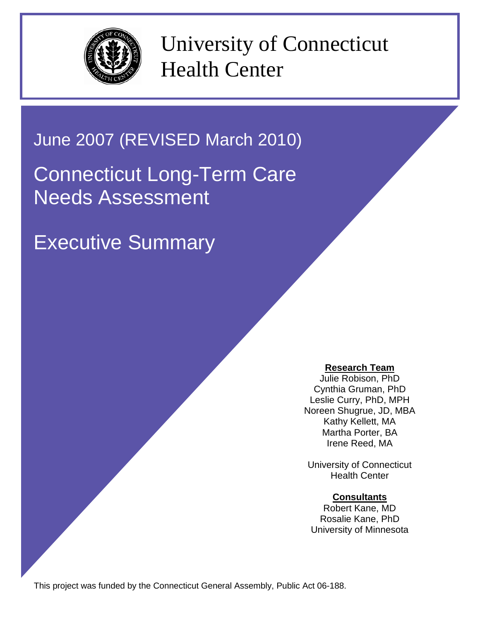

University of Connecticut Health Center

# June 2007 (REVISED March 2010)

# Connecticut Long-Term Care Needs Assessment

Executive Summary

# **Research Team**

Julie Robison, PhD Cynthia Gruman, PhD Leslie Curry, PhD, MPH Noreen Shugrue, JD, MBA Kathy Kellett, MA Martha Porter, BA Irene Reed, MA

University of Connecticut Health Center

## **Consultants**

Robert Kane, MD Rosalie Kane, PhD University of Minnesota

This project was funded by the Connecticut General Assembly, Public Act 06-188.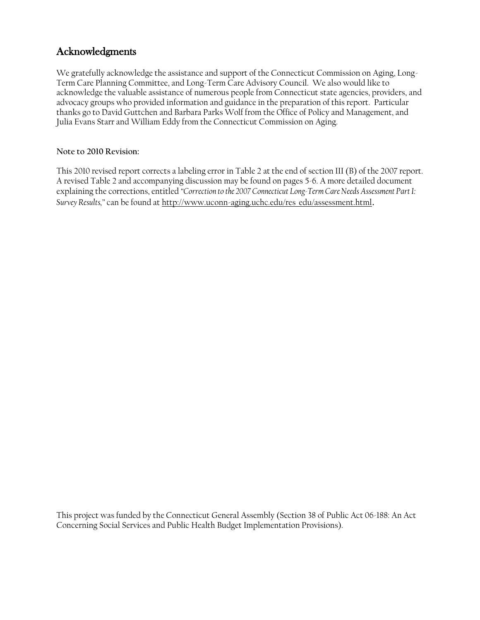# Acknowledgments

We gratefully acknowledge the assistance and support of the Connecticut Commission on Aging, Long-Term Care Planning Committee, and Long-Term Care Advisory Council. We also would like to acknowledge the valuable assistance of numerous people from Connecticut state agencies, providers, and advocacy groups who provided information and guidance in the preparation of this report. Particular thanks go to David Guttchen and Barbara Parks Wolf from the Office of Policy and Management, and Julia Evans Starr and William Eddy from the Connecticut Commission on Aging.

#### **Note to 2010 Revision:**

This 2010 revised report corrects a labeling error in Table 2 at the end of section III (B) of the 2007 report. A revised Table 2 and accompanying discussion may be found on pages 5-6. A more detailed document explaining the corrections, entitled *"Correction to the 2007 Connecticut Long-Term Care Needs Assessment Part I: Survey Results,"* can be found a[t http://www.uconn-aging.uchc.edu/res\\_edu/assessment.html](http://www.uconn-aging.uchc.edu/res_edu/assessment.html).

This project was funded by the Connecticut General Assembly (Section 38 of Public Act 06-188: An Act Concerning Social Services and Public Health Budget Implementation Provisions).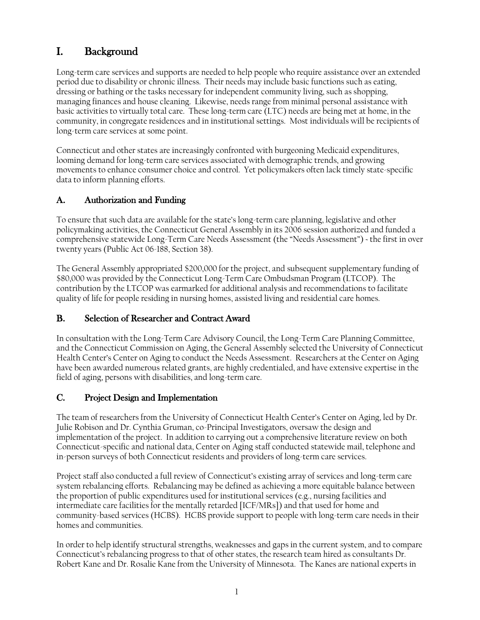# I. Background

Long-term care services and supports are needed to help people who require assistance over an extended period due to disability or chronic illness. Their needs may include basic functions such as eating, dressing or bathing or the tasks necessary for independent community living, such as shopping, managing finances and house cleaning. Likewise, needs range from minimal personal assistance with basic activities to virtually total care. These long-term care (LTC) needs are being met at home, in the community, in congregate residences and in institutional settings. Most individuals will be recipients of long-term care services at some point.

Connecticut and other states are increasingly confronted with burgeoning Medicaid expenditures, looming demand for long-term care services associated with demographic trends, and growing movements to enhance consumer choice and control. Yet policymakers often lack timely state-specific data to inform planning efforts.

# A. Authorization and Funding

To ensure that such data are available for the state's long-term care planning, legislative and other policymaking activities, the Connecticut General Assembly in its 2006 session authorized and funded a comprehensive statewide Long-Term Care Needs Assessment (the "Needs Assessment") ~ the first in over twenty years (Public Act 06-188, Section 38).

The General Assembly appropriated \$200,000 for the project, and subsequent supplementary funding of \$80,000 was provided by the Connecticut Long-Term Care Ombudsman Program (LTCOP). The contribution by the LTCOP was earmarked for additional analysis and recommendations to facilitate quality of life for people residing in nursing homes, assisted living and residential care homes.

## B. Selection of Researcher and Contract Award

In consultation with the Long-Term Care Advisory Council, the Long-Term Care Planning Committee, and the Connecticut Commission on Aging, the General Assembly selected the University of Connecticut Health Center's Center on Aging to conduct the Needs Assessment. Researchers at the Center on Aging have been awarded numerous related grants, are highly credentialed, and have extensive expertise in the field of aging, persons with disabilities, and long-term care.

## C. Project Design and Implementation

The team of researchers from the University of Connecticut Health Center's Center on Aging, led by Dr. Julie Robison and Dr. Cynthia Gruman, co-Principal Investigators, oversaw the design and implementation of the project. In addition to carrying out a comprehensive literature review on both Connecticut-specific and national data, Center on Aging staff conducted statewide mail, telephone and in-person surveys of both Connecticut residents and providers of long-term care services.

Project staff also conducted a full review of Connecticut's existing array of services and long-term care system rebalancing efforts. Rebalancing may be defined as achieving a more equitable balance between the proportion of public expenditures used for institutional services (e.g., nursing facilities and intermediate care facilities for the mentally retarded [ICF/MRs]) and that used for home and community-based services (HCBS). HCBS provide support to people with long-term care needs in their homes and communities.

In order to help identify structural strengths, weaknesses and gaps in the current system, and to compare Connecticut's rebalancing progress to that of other states, the research team hired as consultants Dr. Robert Kane and Dr. Rosalie Kane from the University of Minnesota. The Kanes are national experts in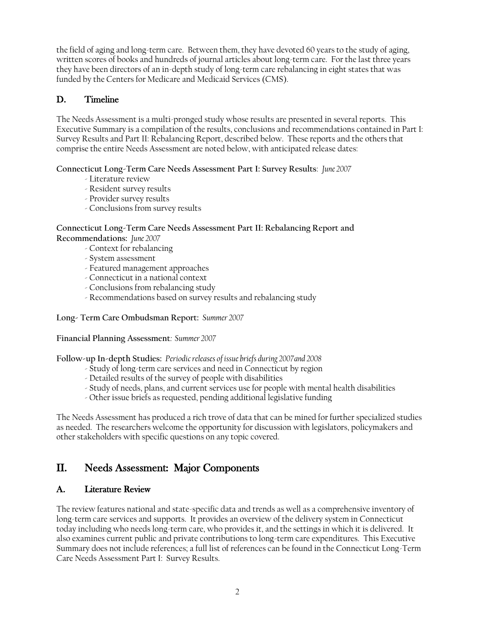the field of aging and long-term care. Between them, they have devoted 60 years to the study of aging, written scores of books and hundreds of journal articles about long-term care. For the last three years they have been directors of an in-depth study of long-term care rebalancing in eight states that was funded by the Centers for Medicare and Medicaid Services (CMS).

# D. Timeline

The Needs Assessment is a multi-pronged study whose results are presented in several reports. This Executive Summary is a compilation of the results, conclusions and recommendations contained in Part I: Survey Results and Part II: Rebalancing Report, described below. These reports and the others that comprise the entire Needs Assessment are noted below, with anticipated release dates:

#### **Connecticut Long-Term Care Needs Assessment Part I: Survey Results**: *June 2007*

- Literature review
- Resident survey results
- Provider survey results
- Conclusions from survey results

#### **Connecticut Long-Term Care Needs Assessment Part II: Rebalancing Report and Recommendations:** *June 2007*

- Context for rebalancing
- System assessment
- Featured management approaches
- Connecticut in a national context
- Conclusions from rebalancing study
- Recommendations based on survey results and rebalancing study

**Long- Term Care Ombudsman Report:** *Summer 2007*

**Financial Planning Assessment***: Summer 2007*

**Follow-up In-depth Studies:** *Periodic releases of issue briefs during 2007and 2008*

- Study of long-term care services and need in Connecticut by region
- Detailed results of the survey of people with disabilities
- Study of needs, plans, and current services use for people with mental health disabilities
- Other issue briefs as requested, pending additional legislative funding

The Needs Assessment has produced a rich trove of data that can be mined for further specialized studies as needed. The researchers welcome the opportunity for discussion with legislators, policymakers and other stakeholders with specific questions on any topic covered.

# II. Needs Assessment: Major Components

#### A. Literature Review

The review features national and state-specific data and trends as well as a comprehensive inventory of long-term care services and supports. It provides an overview of the delivery system in Connecticut today including who needs long-term care, who provides it, and the settings in which it is delivered. It also examines current public and private contributions to long-term care expenditures. This Executive Summary does not include references; a full list of references can be found in the Connecticut Long-Term Care Needs Assessment Part I: Survey Results.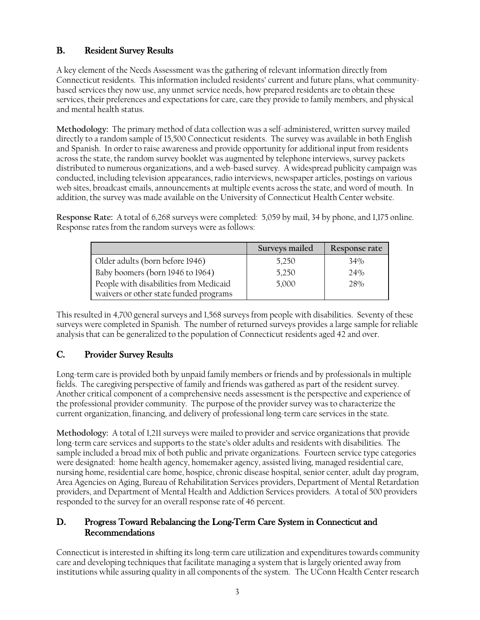# B. Resident Survey Results

A key element of the Needs Assessment was the gathering of relevant information directly from Connecticut residents. This information included residents' current and future plans, what communitybased services they now use, any unmet service needs, how prepared residents are to obtain these services, their preferences and expectations for care, care they provide to family members, and physical and mental health status.

**Methodology:** The primary method of data collection was a self-administered, written survey mailed directly to a random sample of 15,500 Connecticut residents. The survey was available in both English and Spanish. In order to raise awareness and provide opportunity for additional input from residents across the state, the random survey booklet was augmented by telephone interviews, survey packets distributed to numerous organizations, and a web-based survey. A widespread publicity campaign was conducted, including television appearances, radio interviews, newspaper articles, postings on various web sites, broadcast emails, announcements at multiple events across the state, and word of mouth. In addition, the survey was made available on the University of Connecticut Health Center website.

**Response Rate:** A total of 6,268 surveys were completed: 5,059 by mail, 34 by phone, and 1,175 online. Response rates from the random surveys were as follows:

|                                        | Surveys mailed | Response rate |
|----------------------------------------|----------------|---------------|
| Older adults (born before 1946)        | 5,250          | 34%           |
| Baby boomers (born 1946 to 1964)       | 5,250          | 24%           |
| People with disabilities from Medicaid | 5,000          | 28%           |
| waivers or other state funded programs |                |               |

This resulted in 4,700 general surveys and 1,568 surveys from people with disabilities. Seventy of these surveys were completed in Spanish. The number of returned surveys provides a large sample for reliable analysis that can be generalized to the population of Connecticut residents aged 42 and over.

# C. Provider Survey Results

Long-term care is provided both by unpaid family members or friends and by professionals in multiple fields. The caregiving perspective of family and friends was gathered as part of the resident survey. Another critical component of a comprehensive needs assessment is the perspective and experience of the professional provider community. The purpose of the provider survey was to characterize the current organization, financing, and delivery of professional long-term care services in the state.

**Methodology:** A total of 1,211 surveys were mailed to provider and service organizations that provide long-term care services and supports to the state's older adults and residents with disabilities. The sample included a broad mix of both public and private organizations. Fourteen service type categories were designated: home health agency, homemaker agency, assisted living, managed residential care, nursing home, residential care home, hospice, chronic disease hospital, senior center, adult day program, Area Agencies on Aging, Bureau of Rehabilitation Services providers, Department of Mental Retardation providers, and Department of Mental Health and Addiction Services providers. A total of 500 providers responded to the survey for an overall response rate of 46 percent.

## D. Progress Toward Rebalancing the Long-Term Care System in Connecticut and Recommendations

Connecticut is interested in shifting its long-term care utilization and expenditures towards community care and developing techniques that facilitate managing a system that is largely oriented away from institutions while assuring quality in all components of the system. The UConn Health Center research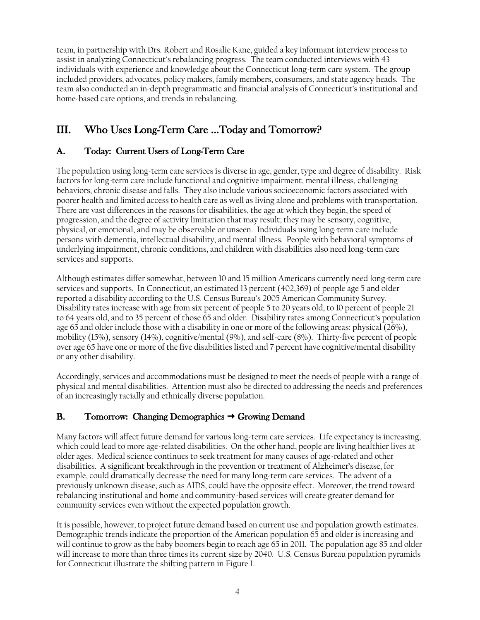team, in partnership with Drs. Robert and Rosalie Kane, guided a key informant interview process to assist in analyzing Connecticut's rebalancing progress. The team conducted interviews with 43 individuals with experience and knowledge about the Connecticut long-term care system. The group included providers, advocates, policy makers, family members, consumers, and state agency heads. The team also conducted an in-depth programmatic and financial analysis of Connecticut's institutional and home-based care options, and trends in rebalancing.

# III. Who Uses Long-Term Care …Today and Tomorrow?

# A. Today: Current Users of Long-Term Care

The population using long-term care services is diverse in age, gender, type and degree of disability. Risk factors for long-term care include functional and cognitive impairment, mental illness, challenging behaviors, chronic disease and falls. They also include various socioeconomic factors associated with poorer health and limited access to health care as well as living alone and problems with transportation. There are vast differences in the reasons for disabilities, the age at which they begin, the speed of progression, and the degree of activity limitation that may result; they may be sensory, cognitive, physical, or emotional, and may be observable or unseen. Individuals using long-term care include persons with dementia, intellectual disability, and mental illness. People with behavioral symptoms of underlying impairment, chronic conditions, and children with disabilities also need long-term care services and supports.

Although estimates differ somewhat, between 10 and 15 million Americans currently need long-term care services and supports. In Connecticut, an estimated 13 percent (402,369) of people age 5 and older reported a disability according to the U.S. Census Bureau's 2005 American Community Survey. Disability rates increase with age from six percent of people 5 to 20 years old, to 10 percent of people 21 to 64 years old, and to 35 percent of those 65 and older. Disability rates among Connecticut's population age 65 and older include those with a disability in one or more of the following areas: physical  $(26\%)$ , mobility (15%), sensory (14%), cognitive/mental (9%), and self-care (8%). Thirty-five percent of people over age 65 have one or more of the five disabilities listed and 7 percent have cognitive/mental disability or any other disability.

Accordingly, services and accommodations must be designed to meet the needs of people with a range of physical and mental disabilities. Attention must also be directed to addressing the needs and preferences of an increasingly racially and ethnically diverse population.

# B. Tomorrow: Changing Demographics  $\rightarrow$  Growing Demand

Many factors will affect future demand for various long-term care services. Life expectancy is increasing, which could lead to more age-related disabilities. On the other hand, people are living healthier lives at older ages. Medical science continues to seek treatment for many causes of age-related and other disabilities. A significant breakthrough in the prevention or treatment of Alzheimer's disease, for example, could dramatically decrease the need for many long-term care services. The advent of a previously unknown disease, such as AIDS, could have the opposite effect. Moreover, the trend toward rebalancing institutional and home and community-based services will create greater demand for community services even without the expected population growth.

It is possible, however, to project future demand based on current use and population growth estimates. Demographic trends indicate the proportion of the American population 65 and older is increasing and will continue to grow as the baby boomers begin to reach age 65 in 2011. The population age 85 and older will increase to more than three times its current size by 2040. U.S. Census Bureau population pyramids for Connecticut illustrate the shifting pattern in Figure 1.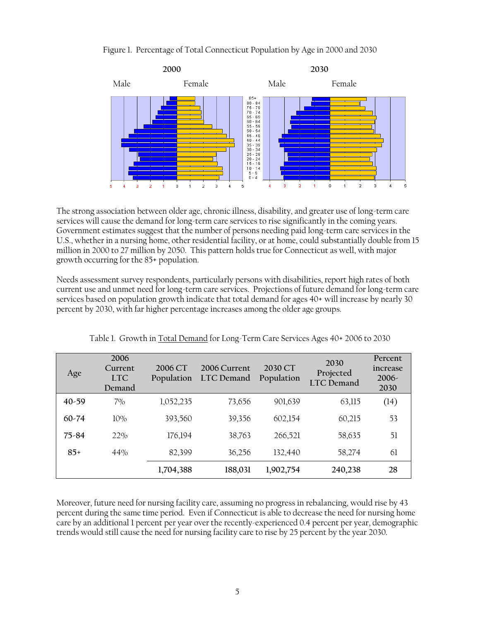#### Figure 1. Percentage of Total Connecticut Population by Age in 2000 and 2030



The strong association between older age, chronic illness, disability, and greater use of long-term care services will cause the demand for long-term care services to rise significantly in the coming years. Government estimates suggest that the number of persons needing paid long-term care services in the U.S., whether in a nursing home, other residential facility, or at home, could substantially double from 15 million in 2000 to 27 million by 2050. This pattern holds true for Connecticut as well, with major growth occurring for the 85+ population.

Needs assessment survey respondents, particularly persons with disabilities, report high rates of both current use and unmet need for long-term care services. Projections of future demand for long-term care services based on population growth indicate that total demand for ages 40+ will increase by nearly 30 percent by 2030, with far higher percentage increases among the older age groups.

| Age       | 2006<br>Current<br><b>TTC</b><br>Demand | 2006 CT<br>Population | 2006 Current<br>LTC Demand | 2030 CT<br>Population | 2030<br>Projected<br><b>LTC</b> Demand | Percent<br>increase<br>$2006-$<br>2030 |
|-----------|-----------------------------------------|-----------------------|----------------------------|-----------------------|----------------------------------------|----------------------------------------|
| $40 - 59$ | $7\%$                                   | 1,052,235             | 73,656                     | 901,639               | 63,115                                 | (14)                                   |
| $60 - 74$ | 10%                                     | 393,560               | 39,356                     | 602,154               | 60,215                                 | 53                                     |
| $75 - 84$ | 22%                                     | 176,194               | 38,763                     | 266,521               | 58,635                                 | 51                                     |
| $85+$     | 44%                                     | 82,399                | 36,256                     | 132,440               | 58,274                                 | 61                                     |
|           |                                         | 1,704,388             | 188,031                    | 1,902,754             | 240,238                                | 28                                     |

Table 1. Growth in Total Demand for Long-Term Care Services Ages 40+ 2006 to 2030

Moreover, future need for nursing facility care, assuming no progress in rebalancing, would rise by 43 percent during the same time period. Even if Connecticut is able to decrease the need for nursing home care by an additional 1 percent per year over the recently-experienced 0.4 percent per year, demographic trends would still cause the need for nursing facility care to rise by 25 percent by the year 2030.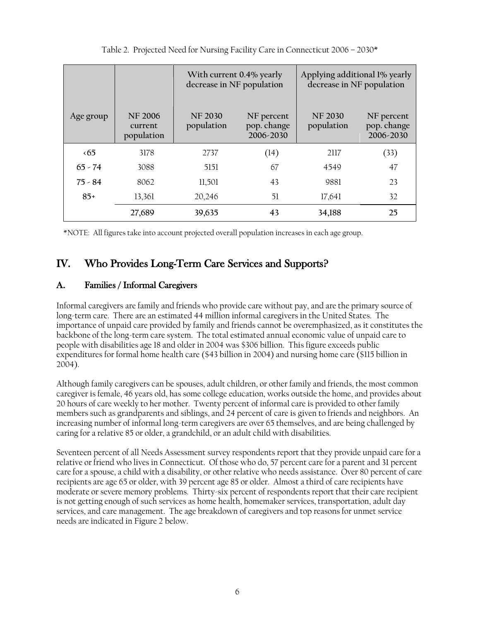|              |                                         | With current 0.4% yearly<br>decrease in NF population |                                        | Applying additional 1% yearly<br>decrease in NF population |                                        |
|--------------|-----------------------------------------|-------------------------------------------------------|----------------------------------------|------------------------------------------------------------|----------------------------------------|
| Age group    | <b>NF 2006</b><br>current<br>population | <b>NF 2030</b><br>population                          | NF percent<br>pop. change<br>2006-2030 | <b>NF 2030</b><br>population                               | NF percent<br>pop. change<br>2006-2030 |
| $\langle 65$ | 3178                                    | 2737                                                  | (14)                                   | 2117                                                       | (33)                                   |
| $65 - 74$    | 3088                                    | 5151                                                  | 67                                     | 4549                                                       | 47                                     |
| $75 - 84$    | 8062                                    | 11,501                                                | 43                                     | 9881                                                       | 23                                     |
| $85+$        | 13,361                                  | 20,246                                                | 51                                     | 17,641                                                     | 32                                     |
|              | 27,689                                  | 39,635                                                | 43                                     | 34,188                                                     | 25                                     |

Table 2. Projected Need for Nursing Facility Care in Connecticut 2006 – 2030\*

\*NOTE: All figures take into account projected overall population increases in each age group.

# IV. Who Provides Long-Term Care Services and Supports?

## A. Families / Informal Caregivers

Informal caregivers are family and friends who provide care without pay, and are the primary source of long-term care. There are an estimated 44 million informal caregivers in the United States. The importance of unpaid care provided by family and friends cannot be overemphasized, as it constitutes the backbone of the long-term care system. The total estimated annual economic value of unpaid care to people with disabilities age 18 and older in 2004 was \$306 billion. This figure exceeds public expenditures for formal home health care (\$43 billion in 2004) and nursing home care (\$115 billion in 2004).

Although family caregivers can be spouses, adult children, or other family and friends, the most common caregiver is female, 46 years old, has some college education, works outside the home, and provides about 20 hours of care weekly to her mother. Twenty percent of informal care is provided to other family members such as grandparents and siblings, and 24 percent of care is given to friends and neighbors. An increasing number of informal long-term caregivers are over 65 themselves, and are being challenged by caring for a relative 85 or older, a grandchild, or an adult child with disabilities.

Seventeen percent of all Needs Assessment survey respondents report that they provide unpaid care for a relative or friend who lives in Connecticut. Of those who do, 57 percent care for a parent and 31 percent care for a spouse, a child with a disability, or other relative who needs assistance. Over 80 percent of care recipients are age 65 or older, with 39 percent age 85 or older. Almost a third of care recipients have moderate or severe memory problems. Thirty-six percent of respondents report that their care recipient is not getting enough of such services as home health, homemaker services, transportation, adult day services, and care management. The age breakdown of caregivers and top reasons for unmet service needs are indicated in Figure 2 below.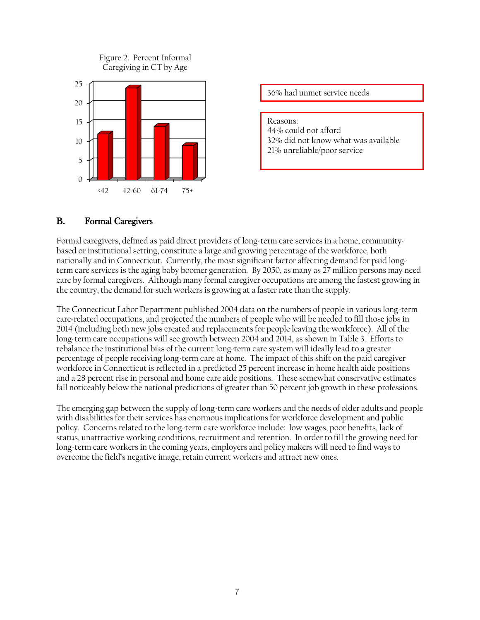

36% had unmet service needs

Reasons: 44% could not afford 32% did not know what was available 21% unreliable/poor service

#### B. Formal Caregivers

Formal caregivers, defined as paid direct providers of long-term care services in a home, communitybased or institutional setting, constitute a large and growing percentage of the workforce, both nationally and in Connecticut. Currently, the most significant factor affecting demand for paid longterm care services is the aging baby boomer generation. By 2050, as many as 27 million persons may need care by formal caregivers. Although many formal caregiver occupations are among the fastest growing in the country, the demand for such workers is growing at a faster rate than the supply.

The Connecticut Labor Department published 2004 data on the numbers of people in various long-term care-related occupations, and projected the numbers of people who will be needed to fill those jobs in 2014 (including both new jobs created and replacements for people leaving the workforce). All of the long-term care occupations will see growth between 2004 and 2014, as shown in Table 3. Efforts to rebalance the institutional bias of the current long-term care system will ideally lead to a greater percentage of people receiving long-term care at home. The impact of this shift on the paid caregiver workforce in Connecticut is reflected in a predicted 25 percent increase in home health aide positions and a 28 percent rise in personal and home care aide positions. These somewhat conservative estimates fall noticeably below the national predictions of greater than 50 percent job growth in these professions.

The emerging gap between the supply of long-term care workers and the needs of older adults and people with disabilities for their services has enormous implications for workforce development and public policy. Concerns related to the long-term care workforce include: low wages, poor benefits, lack of status, unattractive working conditions, recruitment and retention. In order to fill the growing need for long-term care workers in the coming years, employers and policy makers will need to find ways to overcome the field's negative image, retain current workers and attract new ones.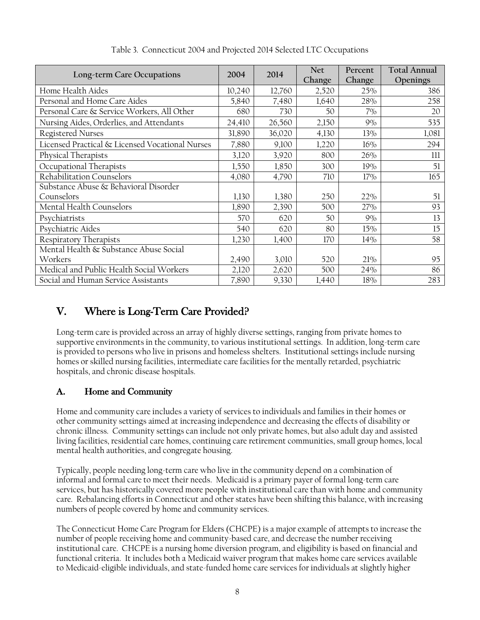| Long-term Care Occupations                      | 2004   | 2014   | <b>Net</b><br>Change | Percent<br>Change | <b>Total Annual</b><br>Openings |
|-------------------------------------------------|--------|--------|----------------------|-------------------|---------------------------------|
| Home Health Aides                               | 10,240 | 12,760 | 2,520                | 25%               | 386                             |
| Personal and Home Care Aides                    | 5,840  | 7,480  | 1,640                | 28%               | 258                             |
| Personal Care & Service Workers, All Other      | 680    | 730    | 50                   | $7\%$             | 20                              |
| Nursing Aides, Orderlies, and Attendants        | 24,410 | 26,560 | 2,150                | 9%                | 535                             |
| Registered Nurses                               | 31,890 | 36,020 | 4,130                | 13%               | 1,081                           |
| Licensed Practical & Licensed Vocational Nurses | 7,880  | 9,100  | 1,220                | 16%               | 294                             |
| Physical Therapists                             | 3,120  | 3,920  | 800                  | 26%               | 111                             |
| Occupational Therapists                         | 1,550  | 1,850  | 300                  | 19%               | 51                              |
| Rehabilitation Counselors                       | 4,080  | 4,790  | 710                  | 17%               | 165                             |
| Substance Abuse & Behavioral Disorder           |        |        |                      |                   |                                 |
| Counselors                                      | 1,130  | 1,380  | 250                  | 22%               | 51                              |
| Mental Health Counselors                        | 1,890  | 2,390  | 500                  | 27%               | 93                              |
| Psychiatrists                                   | 570    | 620    | 50                   | 9%                | 13                              |
| Psychiatric Aides                               | 540    | 620    | 80                   | 15%               | 15                              |
| Respiratory Therapists                          | 1,230  | 1,400  | 170                  | 14%               | 58                              |
| Mental Health & Substance Abuse Social          |        |        |                      |                   |                                 |
| Workers                                         | 2,490  | 3,010  | 520                  | 21%               | 95                              |
| Medical and Public Health Social Workers        | 2,120  | 2,620  | 500                  | 24%               | 86                              |
| Social and Human Service Assistants             | 7,890  | 9,330  | 1,440                | 18%               | 283                             |

Table 3. Connecticut 2004 and Projected 2014 Selected LTC Occupations

# V. Where is Long-Term Care Provided?

Long-term care is provided across an array of highly diverse settings, ranging from private homes to supportive environments in the community, to various institutional settings. In addition, long-term care is provided to persons who live in prisons and homeless shelters. Institutional settings include nursing homes or skilled nursing facilities, intermediate care facilities for the mentally retarded, psychiatric hospitals, and chronic disease hospitals.

# A. Home and Community

Home and community care includes a variety of services to individuals and families in their homes or other community settings aimed at increasing independence and decreasing the effects of disability or chronic illness. Community settings can include not only private homes, but also adult day and assisted living facilities, residential care homes, continuing care retirement communities, small group homes, local mental health authorities, and congregate housing.

Typically, people needing long-term care who live in the community depend on a combination of informal and formal care to meet their needs. Medicaid is a primary payer of formal long-term care services, but has historically covered more people with institutional care than with home and community care. Rebalancing efforts in Connecticut and other states have been shifting this balance, with increasing numbers of people covered by home and community services.

The Connecticut Home Care Program for Elders (CHCPE) is a major example of attempts to increase the number of people receiving home and community-based care, and decrease the number receiving institutional care. CHCPE is a nursing home diversion program, and eligibility is based on financial and functional criteria. It includes both a Medicaid waiver program that makes home care services available to Medicaid-eligible individuals, and state-funded home care services for individuals at slightly higher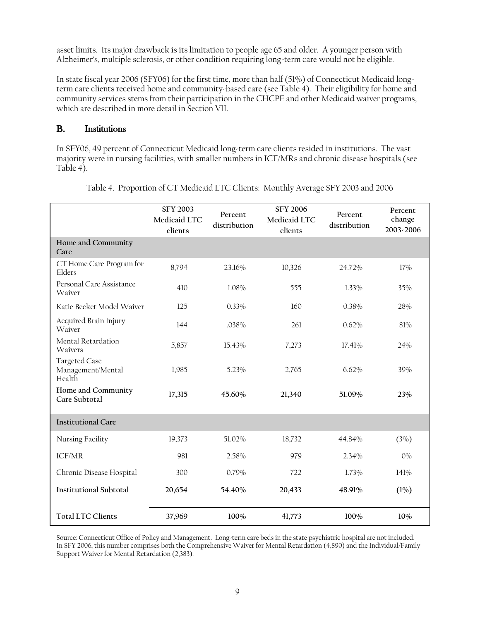asset limits. Its major drawback is its limitation to people age 65 and older. A younger person with Alzheimer's, multiple sclerosis, or other condition requiring long-term care would not be eligible.

In state fiscal year 2006 (SFY06) for the first time, more than half (51%) of Connecticut Medicaid longterm care clients received home and community-based care (see Table 4). Their eligibility for home and community services stems from their participation in the CHCPE and other Medicaid waiver programs, which are described in more detail in Section VII.

## B. Institutions

In SFY06, 49 percent of Connecticut Medicaid long-term care clients resided in institutions. The vast majority were in nursing facilities, with smaller numbers in ICF/MRs and chronic disease hospitals (see Table 4).

|                                              | <b>SFY 2003</b><br>Medicaid LTC<br>clients | Percent<br>distribution | <b>SFY 2006</b><br>Medicaid LTC<br>clients | Percent<br>distribution | Percent<br>change<br>2003-2006 |
|----------------------------------------------|--------------------------------------------|-------------------------|--------------------------------------------|-------------------------|--------------------------------|
| Home and Community<br>Care                   |                                            |                         |                                            |                         |                                |
| CT Home Care Program for<br>Elders           | 8,794                                      | 23.16%                  | 10,326                                     | 24.72%                  | 17%                            |
| Personal Care Assistance<br>Waiver           | 410                                        | 1.08%                   | 555                                        | 1.33%                   | 35%                            |
| Katie Becket Model Waiver                    | 125                                        | $0.33\%$                | 160                                        | 0.38%                   | 28%                            |
| Acquired Brain Injury<br>Waiver              | 144                                        | .038%                   | 261                                        | 0.62%                   | 81%                            |
| Mental Retardation<br>Waivers                | 5,857                                      | 15.43%                  | 7,273                                      | 17.41%                  | 24%                            |
| Targeted Case<br>Management/Mental<br>Health | 1,985                                      | 5.23%                   | 2,765                                      | 6.62%                   | 39%                            |
| Home and Community<br>Care Subtotal          | 17,315                                     | 45.60%                  | 21,340                                     | 51.09%                  | 23%                            |
| <b>Institutional Care</b>                    |                                            |                         |                                            |                         |                                |
| Nursing Facility                             | 19,373                                     | 51.02%                  | 18,732                                     | 44.84%                  | (3%)                           |
| ICF/MR                                       | 981                                        | 2.58%                   | 979                                        | 2.34%                   | $0\%$                          |
| Chronic Disease Hospital                     | 300                                        | 0.79%                   | 722                                        | 1.73%                   | 141%                           |
| <b>Institutional Subtotal</b>                | 20,654                                     | 54.40%                  | 20,433                                     | 48.91%                  | (1%)                           |
| <b>Total LTC Clients</b>                     | 37,969                                     | 100%                    | 41,773                                     | 100%                    | 10%                            |

Table 4. Proportion of CT Medicaid LTC Clients: Monthly Average SFY 2003 and 2006

Source: Connecticut Office of Policy and Management. Long-term care beds in the state psychiatric hospital are not included. In SFY 2006, this number comprises both the Comprehensive Waiver for Mental Retardation (4,890) and the Individual/Family Support Waiver for Mental Retardation (2,383).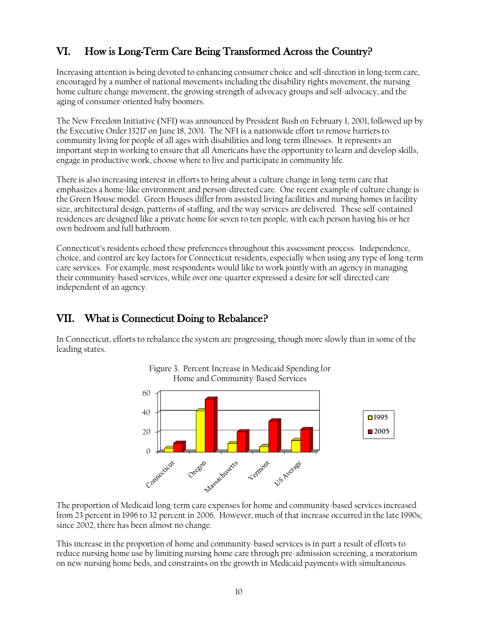# VI. How is Long-Term Care Being Transformed Across the Country?

Increasing attention is being devoted to enhancing consumer choice and self-direction in long-term care, encouraged by a number of national movements including the disability rights movement, the nursing home culture change movement, the growing strength of advocacy groups and self-advocacy, and the aging of consumer-oriented baby boomers.

The New Freedom Initiative (NFI) was announced by President Bush on February 1, 2001, followed up by the Executive Order 13217 on June 18, 2001. The NFI is a nationwide effort to remove barriers to community living for people of all ages with disabilities and long-term illnesses. It represents an important step in working to ensure that all Americans have the opportunity to learn and develop skills, engage in productive work, choose where to live and participate in community life.

There is also increasing interest in efforts to bring about a culture change in long-term care that emphasizes a home-like environment and person-directed care. One recent example of culture change is the Green House model. Green Houses differ from assisted living facilities and nursing homes in facility size, architectural design, patterns of staffing, and the way services are delivered. These self-contained residences are designed like a private home for seven to ten people, with each person having his or her own bedroom and full bathroom.

Connecticut's residents echoed these preferences throughout this assessment process. Independence, choice, and control are key factors for Connecticut residents, especially when using any type of long-term care services. For example, most respondents would like to work jointly with an agency in managing their community-based services, while over one-quarter expressed a desire for self-directed care independent of an agency.

# VII. What is Connecticut Doing to Rebalance?

In Connecticut, efforts to rebalance the system are progressing, though more slowly than in some of the leading states.



Figure 3. Percent Increase in Medicaid Spending for

The proportion of Medicaid long-term care expenses for home and community-based services increased from 23 percent in 1996 to 32 percent in 2006. However, much of that increase occurred in the late 1990s; since 2002, there has been almost no change.

This increase in the proportion of home and community-based services is in part a result of efforts to reduce nursing home use by limiting nursing home care through pre-admission screening, a moratorium on new nursing home beds, and constraints on the growth in Medicaid payments with simultaneous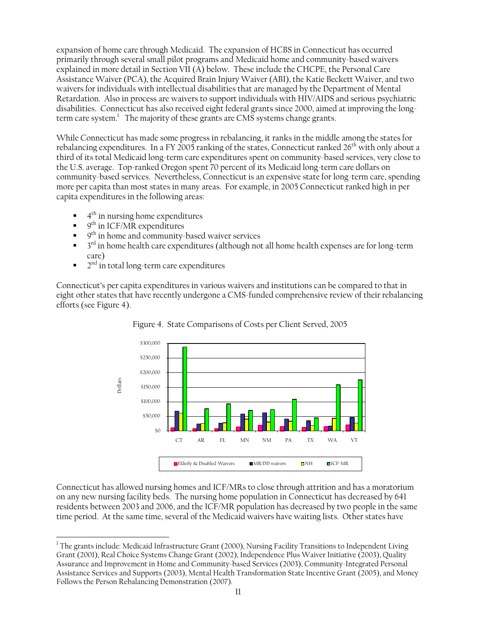expansion of home care through Medicaid. The expansion of HCBS in Connecticut has occurred primarily through several small pilot programs and Medicaid home and community-based waivers explained in more detail in Section VII (A) below. These include the CHCPE, the Personal Care Assistance Waiver (PCA), the Acquired Brain Injury Waiver (ABI), the Katie Beckett Waiver, and two waivers for individuals with intellectual disabilities that are managed by the Department of Mental Retardation. Also in process are waivers to support individuals with HIV/AIDS and serious psychiatric disabilities.Connecticut has also received eight federal grants since 2000, aimed at improving the longterm care system. The majority of these grants are CMS systems change grants.

While Connecticut has made some progress in rebalancing, it ranks in the middle among the states for rebalancing expenditures. In a FY 2005 ranking of the states, Connecticut ranked  $26<sup>th</sup>$  with only about a third of its total Medicaid long-term care expenditures spent on community-based services, very close to the U.S. average. Top-ranked Oregon spent 70 percent of its Medicaid long-term care dollars on community-based services. Nevertheless, Connecticut is an expensive state for long-term care, spending more per capita than most states in many areas. For example, in 2005 Connecticut ranked high in per capita expenditures in the following areas:

- $\blacksquare$  4<sup>th</sup> in nursing home expenditures
- $\bullet$  9<sup>th</sup> in ICF/MR expenditures

 $\overline{a}$ 

- $\bullet$  9<sup>th</sup> in home and community-based waiver services
- $\blacksquare$  3<sup>rd</sup> in home health care expenditures (although not all home health expenses are for long-term care)
- $\blacksquare$   $2<sup>nd</sup>$  in total long-term care expenditures

Connecticut's per capita expenditures in various waivers and institutions can be compared to that in eight other states that have recently undergone a CMS-funded comprehensive review of their rebalancing efforts (see Figure 4).





Connecticut has allowed nursing homes and ICF/MRs to close through attrition and has a moratorium on any new nursing facility beds. The nursing home population in Connecticut has decreased by 641 residents between 2003 and 2006, and the ICF/MR population has decreased by two people in the same time period. At the same time, several of the Medicaid waivers have waiting lists. Other states have

<sup>&</sup>lt;sup>1</sup> The grants include: Medicaid Infrastructure Grant (2000), Nursing Facility Transitions to Independent Living Grant (2001), Real Choice Systems Change Grant (2002), Independence Plus Waiver Initiative (2003), Quality Assurance and Improvement in Home and Community-based Services (2003), Community-Integrated Personal Assistance Services and Supports (2003), Mental Health Transformation State Incentive Grant (2005), and Money Follows the Person Rebalancing Demonstration (2007).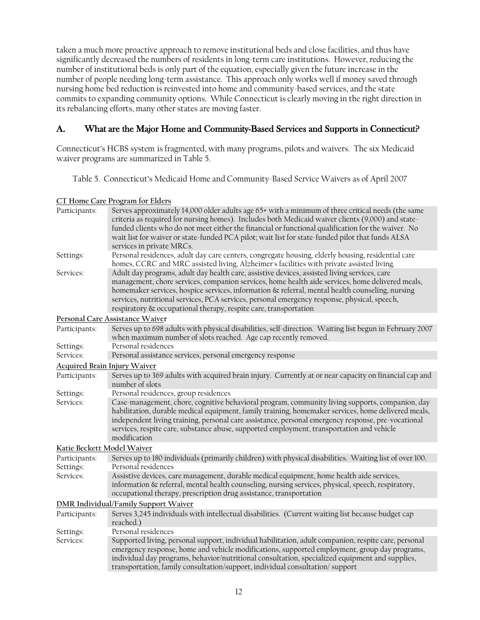taken a much more proactive approach to remove institutional beds and close facilities, and thus have significantly decreased the numbers of residents in long-term care institutions. However, reducing the number of institutional beds is only part of the equation, especially given the future increase in the number of people needing long-term assistance. This approach only works well if money saved through nursing home bed reduction is reinvested into home and community-based services, and the state commits to expanding community options. While Connecticut is clearly moving in the right direction in its rebalancing efforts, many other states are moving faster.

## A. What are the Major Home and Community-Based Services and Supports in Connecticut?

Connecticut's HCBS system is fragmented, with many programs, pilots and waivers. The six Medicaid waiver programs are summarized in Table 5.

Table 5. Connecticut's Medicaid Home and Community-Based Service Waivers as of April 2007

**CT Home Care Program for Elders**

| Participants:                       | Serves approximately 14,000 older adults age 65+ with a minimum of three critical needs (the same<br>criteria as required for nursing homes). Includes both Medicaid waiver clients (9,000) and state-<br>funded clients who do not meet either the financial or functional qualification for the waiver. No<br>wait list for waiver or state-funded PCA pilot; wait list for state-funded pilot that funds ALSA<br>services in private MRCs.                           |
|-------------------------------------|-------------------------------------------------------------------------------------------------------------------------------------------------------------------------------------------------------------------------------------------------------------------------------------------------------------------------------------------------------------------------------------------------------------------------------------------------------------------------|
| Settings:                           | Personal residences, adult day care centers, congregate housing, elderly housing, residential care<br>homes, CCRC and MRC assisted living, Alzheimer's facilities with private assisted living.                                                                                                                                                                                                                                                                         |
| Services:                           | Adult day programs, adult day health care, assistive devices, assisted living services, care<br>management, chore services, companion services, home health aide services, home delivered meals,<br>homemaker services, hospice services, information & referral, mental health counseling, nursing<br>services, nutritional services, PCA services, personal emergency response, physical, speech,<br>respiratory & occupational therapy, respite care, transportation |
|                                     | Personal Care Assistance Waiver                                                                                                                                                                                                                                                                                                                                                                                                                                         |
| Participants:                       | Serves up to 698 adults with physical disabilities, self-direction. Waiting list begun in February 2007<br>when maximum number of slots reached. Age cap recently removed.                                                                                                                                                                                                                                                                                              |
| Settings:                           | Personal residences                                                                                                                                                                                                                                                                                                                                                                                                                                                     |
| Services:                           | Personal assistance services, personal emergency response                                                                                                                                                                                                                                                                                                                                                                                                               |
| <b>Acquired Brain Injury Waiver</b> |                                                                                                                                                                                                                                                                                                                                                                                                                                                                         |
| Participants:                       | Serves up to 369 adults with acquired brain injury. Currently at or near capacity on financial cap and<br>number of slots                                                                                                                                                                                                                                                                                                                                               |
| Settings:                           | Personal residences, group residences                                                                                                                                                                                                                                                                                                                                                                                                                                   |
| Services:                           | Case-management, chore, cognitive behavioral program, community living supports, companion, day<br>habilitation, durable medical equipment, family training, homemaker services, home delivered meals,<br>independent living training, personal care assistance, personal emergency response, pre-vocational<br>services, respite care, substance abuse, supported employment, transportation and vehicle<br>modification                                               |
| Katie Beckett Model Waiver          |                                                                                                                                                                                                                                                                                                                                                                                                                                                                         |
| Participants:                       | Serves up to 180 individuals (primarily children) with physical disabilities. Waiting list of over 100.                                                                                                                                                                                                                                                                                                                                                                 |
| Settings:                           | Personal residences                                                                                                                                                                                                                                                                                                                                                                                                                                                     |
| Services:                           | Assistive devices, care management, durable medical equipment, home health aide services,<br>information & referral, mental health counseling, nursing services, physical, speech, respiratory,<br>occupational therapy, prescription drug assistance, transportation                                                                                                                                                                                                   |
|                                     | <b>DMR Individual/Family Support Waiver</b>                                                                                                                                                                                                                                                                                                                                                                                                                             |
| Participants:                       | Serves 3,245 individuals with intellectual disabilities. (Current waiting list because budget cap<br>reached.)                                                                                                                                                                                                                                                                                                                                                          |
| Settings:                           | Personal residences                                                                                                                                                                                                                                                                                                                                                                                                                                                     |
| Services:                           | Supported living, personal support, individual habilitation, adult companion, respite care, personal<br>emergency response, home and vehicle modifications, supported employment, group day programs,<br>individual day programs, behavior/nutritional consultation, specialized equipment and supplies,<br>transportation, family consultation/support, individual consultation/support                                                                                |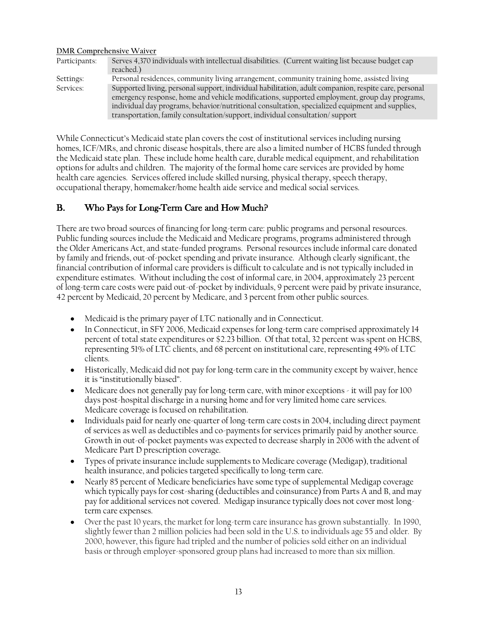#### **DMR Comprehensive Waiver**

| Participants: | Serves 4,370 individuals with intellectual disabilities. (Current waiting list because budget cap    |
|---------------|------------------------------------------------------------------------------------------------------|
|               | reached.)                                                                                            |
| Settings:     | Personal residences, community living arrangement, community training home, assisted living          |
| Services:     | Supported living, personal support, individual habilitation, adult companion, respite care, personal |
|               | emergency response, home and vehicle modifications, supported employment, group day programs,        |
|               | individual day programs, behavior/nutritional consultation, specialized equipment and supplies,      |
|               | transportation, family consultation/support, individual consultation/support                         |

While Connecticut's Medicaid state plan covers the cost of institutional services including nursing homes, ICF/MRs, and chronic disease hospitals, there are also a limited number of HCBS funded through the Medicaid state plan. These include home health care, durable medical equipment, and rehabilitation options for adults and children. The majority of the formal home care services are provided by home health care agencies. Services offered include skilled nursing, physical therapy, speech therapy, occupational therapy, homemaker/home health aide service and medical social services.

## B. Who Pays for Long-Term Care and How Much?

There are two broad sources of financing for long-term care: public programs and personal resources. Public funding sources include the Medicaid and Medicare programs, programs administered through the Older Americans Act, and state-funded programs. Personal resources include informal care donated by family and friends, out-of-pocket spending and private insurance. Although clearly significant, the financial contribution of informal care providers is difficult to calculate and is not typically included in expenditure estimates. Without including the cost of informal care, in 2004, approximately 23 percent of long-term care costs were paid out-of-pocket by individuals, 9 percent were paid by private insurance, 42 percent by Medicaid, 20 percent by Medicare, and 3 percent from other public sources.

- Medicaid is the primary payer of LTC nationally and in Connecticut.
- In Connecticut, in SFY 2006, Medicaid expenses for long-term care comprised approximately 14 percent of total state expenditures or \$2.23 billion. Of that total, 32 percent was spent on HCBS, representing 51% of LTC clients, and 68 percent on institutional care, representing 49% of LTC clients.
- Historically, Medicaid did not pay for long-term care in the community except by waiver, hence it is "institutionally biased".
- Medicare does not generally pay for long-term care, with minor exceptions it will pay for 100 days post-hospital discharge in a nursing home and for very limited home care services. Medicare coverage is focused on rehabilitation.
- Individuals paid for nearly one-quarter of long-term care costs in 2004, including direct payment of services as well as deductibles and co-payments for services primarily paid by another source. Growth in out-of-pocket payments was expected to decrease sharply in 2006 with the advent of Medicare Part D prescription coverage.
- Types of private insurance include supplements to Medicare coverage (Medigap), traditional health insurance, and policies targeted specifically to long-term care.
- Nearly 85 percent of Medicare beneficiaries have some type of supplemental Medigap coverage which typically pays for cost-sharing (deductibles and coinsurance) from Parts A and B, and may pay for additional services not covered. Medigap insurance typically does not cover most longterm care expenses.
- Over the past 10 years, the market for long-term care insurance has grown substantially. In 1990, slightly fewer than 2 million policies had been sold in the U.S. to individuals age 55 and older. By 2000, however, this figure had tripled and the number of policies sold either on an individual basis or through employer-sponsored group plans had increased to more than six million.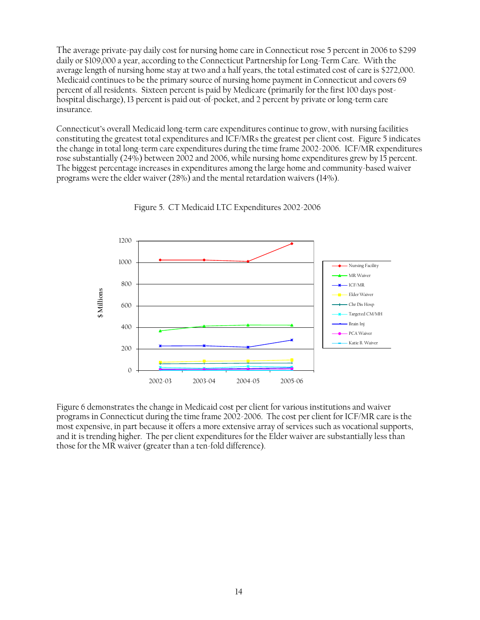The average private-pay daily cost for nursing home care in Connecticut rose 5 percent in 2006 to \$299 daily or \$109,000 a year, according to the Connecticut Partnership for Long-Term Care. With the average length of nursing home stay at two and a half years, the total estimated cost of care is \$272,000. Medicaid continues to be the primary source of nursing home payment in Connecticut and covers 69 percent of all residents. Sixteen percent is paid by Medicare (primarily for the first 100 days posthospital discharge), 13 percent is paid out-of-pocket, and 2 percent by private or long-term care insurance.

Connecticut's overall Medicaid long-term care expenditures continue to grow, with nursing facilities constituting the greatest total expenditures and ICF/MRs the greatest per client cost. Figure 5 indicates the change in total long-term care expenditures during the time frame 2002-2006. ICF/MR expenditures rose substantially (24%) between 2002 and 2006, while nursing home expenditures grew by 15 percent. The biggest percentage increases in expenditures among the large home and community-based waiver programs were the elder waiver (28%) and the mental retardation waivers (14%).



Figure 5. CT Medicaid LTC Expenditures 2002-2006

Figure 6 demonstrates the change in Medicaid cost per client for various institutions and waiver programs in Connecticut during the time frame 2002-2006. The cost per client for ICF/MR care is the most expensive, in part because it offers a more extensive array of services such as vocational supports, and it is trending higher. The per client expenditures for the Elder waiver are substantially less than those for the MR waiver (greater than a ten-fold difference).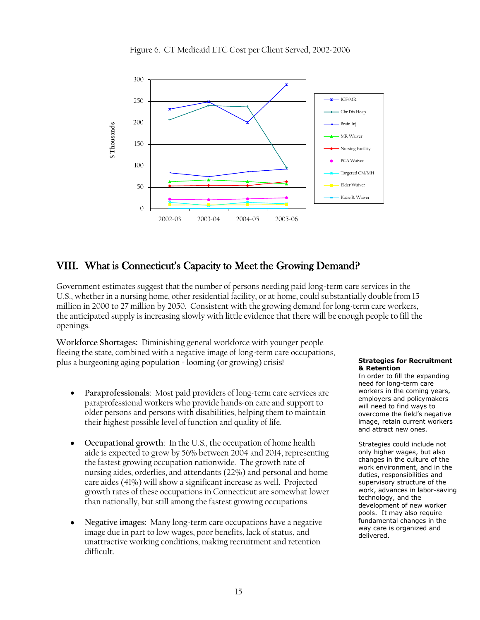



# VIII. What is Connecticut's Capacity to Meet the Growing Demand?

Government estimates suggest that the number of persons needing paid long-term care services in the U.S., whether in a nursing home, other residential facility, or at home, could substantially double from 15 million in 2000 to 27 million by 2050. Consistent with the growing demand for long-term care workers, the anticipated supply is increasing slowly with little evidence that there will be enough people to fill the openings.

**Workforce Shortages:** Diminishing general workforce with younger people fleeing the state, combined with a negative image of long-term care occupations, plus a burgeoning aging population = looming (or growing) crisis!

- **Paraprofessionals**: Most paid providers of long-term care services are  $\bullet$ paraprofessional workers who provide hands-on care and support to older persons and persons with disabilities, helping them to maintain their highest possible level of function and quality of life.
- **Occupational growth**: In the U.S., the occupation of home health aide is expected to grow by 56% between 2004 and 2014, representing the fastest growing occupation nationwide. The growth rate of nursing aides, orderlies, and attendants (22%) and personal and home care aides (41%) will show a significant increase as well. Projected growth rates of these occupations in Connecticut are somewhat lower than nationally, but still among the fastest growing occupations.
- **Negative images**: Many long-term care occupations have a negative image due in part to low wages, poor benefits, lack of status, and unattractive working conditions, making recruitment and retention difficult.

#### **Strategies for Recruitment & Retention**

In order to fill the expanding need for long-term care workers in the coming years, employers and policymakers will need to find ways to overcome the field's negative image, retain current workers and attract new ones.

Strategies could include not only higher wages, but also changes in the culture of the work environment, and in the duties, responsibilities and supervisory structure of the work, advances in labor-saving technology, and the development of new worker pools. It may also require fundamental changes in the way care is organized and delivered.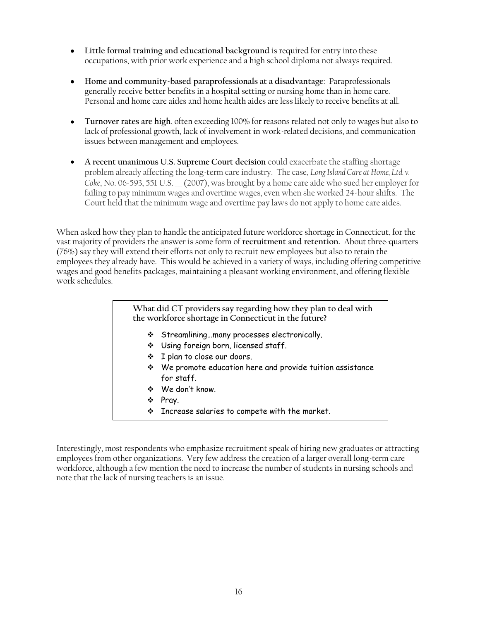- **Little formal training and educational background** is required for entry into these occupations, with prior work experience and a high school diploma not always required.
- **Home and community-based paraprofessionals at a disadvantage**: Paraprofessionals generally receive better benefits in a hospital setting or nursing home than in home care. Personal and home care aides and home health aides are less likely to receive benefits at all.
- **Turnover rates are high**, often exceeding 100% for reasons related not only to wages but also to lack of professional growth, lack of involvement in work-related decisions, and communication issues between management and employees.
- **A recent unanimous U.S. Supreme Court decision** could exacerbate the staffing shortage problem already affecting the long-term care industry. The case, *Long Island Care at Home, Ltd. v. Coke*, No. 06-593, 551 U.S. \_\_ (2007), was brought by a home care aide who sued her employer for failing to pay minimum wages and overtime wages, even when she worked 24-hour shifts. The Court held that the minimum wage and overtime pay laws do not apply to home care aides.

When asked how they plan to handle the anticipated future workforce shortage in Connecticut, for the vast majority of providers the answer is some form of **recruitment and retention.** About three-quarters (76%) say they will extend their efforts not only to recruit new employees but also to retain the employees they already have. This would be achieved in a variety of ways, including offering competitive wages and good benefits packages, maintaining a pleasant working environment, and offering flexible work schedules.

# **What did CT providers say regarding how they plan to deal with the workforce shortage in Connecticut in the future?** Streamlining…many processes electronically. Using foreign born, licensed staff. I plan to close our doors. We promote education here and provide tuition assistance for staff. We don't know. ❖ Pray.  $\cdot$  Increase salaries to compete with the market.

Interestingly, most respondents who emphasize recruitment speak of hiring new graduates or attracting employees from other organizations. Very few address the creation of a larger overall long-term care workforce, although a few mention the need to increase the number of students in nursing schools and note that the lack of nursing teachers is an issue.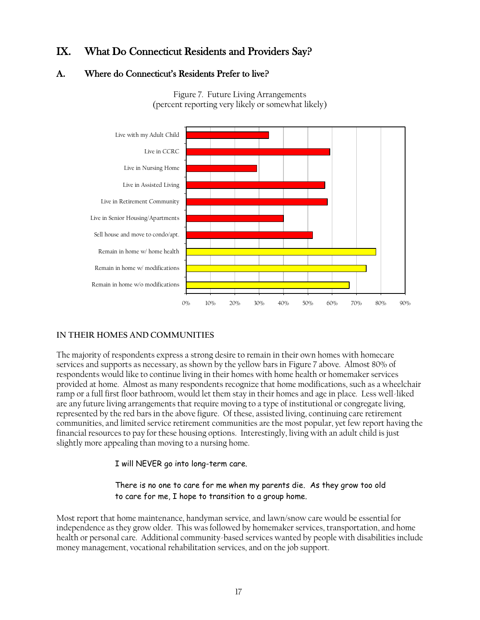# IX. What Do Connecticut Residents and Providers Say?

## A. Where do Connecticut's Residents Prefer to live?



Figure 7. Future Living Arrangements (percent reporting very likely or somewhat likely)

## **IN THEIR HOMES AND COMMUNITIES**

The majority of respondents express a strong desire to remain in their own homes with homecare services and supports as necessary, as shown by the yellow bars in Figure 7 above. Almost 80% of respondents would like to continue living in their homes with home health or homemaker services provided at home. Almost as many respondents recognize that home modifications, such as a wheelchair ramp or a full first floor bathroom, would let them stay in their homes and age in place. Less well-liked are any future living arrangements that require moving to a type of institutional or congregate living, represented by the red bars in the above figure. Of these, assisted living, continuing care retirement communities, and limited service retirement communities are the most popular, yet few report having the financial resources to pay for these housing options. Interestingly, living with an adult child is just slightly more appealing than moving to a nursing home.

I will NEVER go into long-term care.

#### There is no one to care for me when my parents die. As they grow too old to care for me, I hope to transition to a group home.

Most report that home maintenance, handyman service, and lawn/snow care would be essential for independence as they grow older. This was followed by homemaker services, transportation, and home health or personal care. Additional community-based services wanted by people with disabilities include money management, vocational rehabilitation services, and on the job support.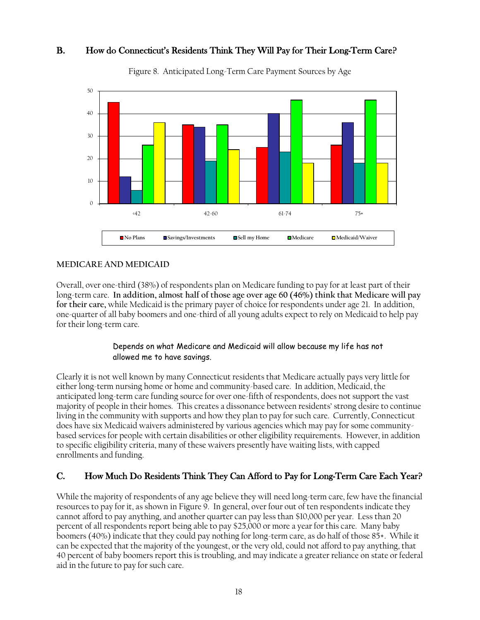## B. How do Connecticut's Residents Think They Will Pay for Their Long-Term Care?



Figure 8. Anticipated Long-Term Care Payment Sources by Age

#### **MEDICARE AND MEDICAID**

Overall, over one-third (38%) of respondents plan on Medicare funding to pay for at least part of their long-term care. **In addition, almost half of those age over age 60 (46%) think that Medicare will pay for their care,** while Medicaid is the primary payer of choice for respondents under age 21. In addition, one-quarter of all baby boomers and one-third of all young adults expect to rely on Medicaid to help pay for their long-term care.

#### Depends on what Medicare and Medicaid will allow because my life has not allowed me to have savings.

Clearly it is not well known by many Connecticut residents that Medicare actually pays very little for either long-term nursing home or home and community-based care. In addition, Medicaid, the anticipated long-term care funding source for over one-fifth of respondents, does not support the vast majority of people in their homes. This creates a dissonance between residents' strong desire to continue living in the community with supports and how they plan to pay for such care. Currently, Connecticut does have six Medicaid waivers administered by various agencies which may pay for some communitybased services for people with certain disabilities or other eligibility requirements. However, in addition to specific eligibility criteria, many of these waivers presently have waiting lists, with capped enrollments and funding.

## C. How Much Do Residents Think They Can Afford to Pay for Long-Term Care Each Year?

While the majority of respondents of any age believe they will need long-term care, few have the financial resources to pay for it, as shown in Figure 9. In general, over four out of ten respondents indicate they cannot afford to pay anything, and another quarter can pay less than \$10,000 per year. Less than 20 percent of all respondents report being able to pay \$25,000 or more a year for this care. Many baby boomers (40%) indicate that they could pay nothing for long-term care, as do half of those 85+. While it can be expected that the majority of the youngest, or the very old, could not afford to pay anything, that 40 percent of baby boomers report this is troubling, and may indicate a greater reliance on state or federal aid in the future to pay for such care.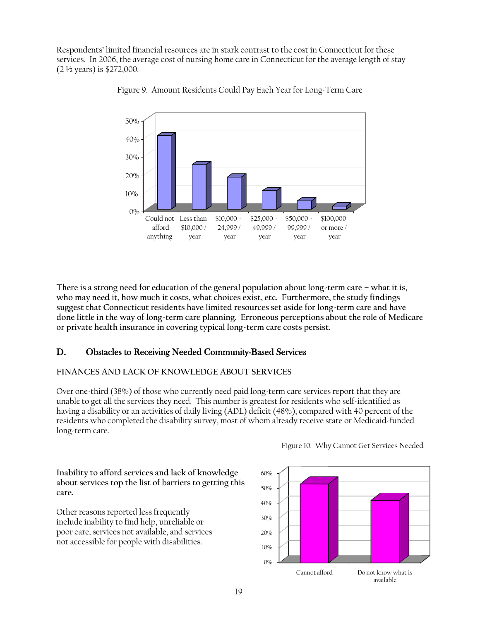Respondents' limited financial resources are in stark contrast to the cost in Connecticut for these services. In 2006, the average cost of nursing home care in Connecticut for the average length of stay (2 ½ years) is \$272,000.



Figure 9. Amount Residents Could Pay Each Year for Long-Term Care

**There is a strong need for education of the general population about long-term care – what it is, who may need it, how much it costs, what choices exist, etc. Furthermore, the study findings suggest that Connecticut residents have limited resources set aside for long-term care and have done little in the way of long-term care planning. Erroneous perceptions about the role of Medicare or private health insurance in covering typical long-term care costs persist.** 

## D. Obstacles to Receiving Needed Community-Based Services

#### **FINANCES AND LACK OF KNOWLEDGE ABOUT SERVICES**

**Inability to afford services and lack of knowledge about services top the list of barriers to getting this**

Other reasons reported less frequently include inability to find help, unreliable or poor care, services not available, and services not accessible for people with disabilities.

**care.**

Over one-third (38%) of those who currently need paid long-term care services report that they are unable to get all the services they need. This number is greatest for residents who self-identified as having a disability or an activities of daily living (ADL) deficit (48%), compared with 40 percent of the residents who completed the disability survey, most of whom already receive state or Medicaid-funded long-term care.





19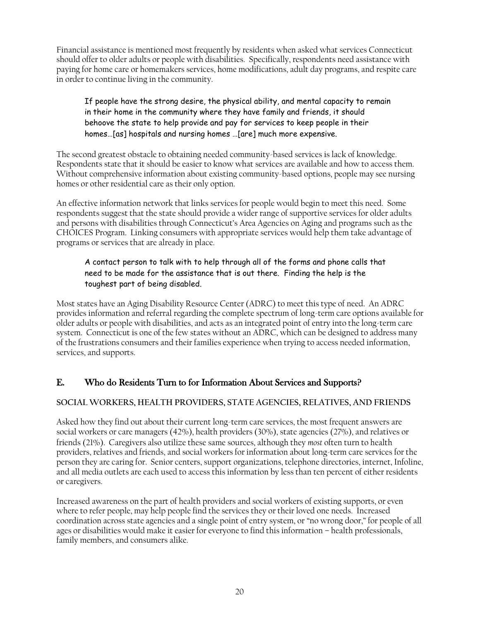Financial assistance is mentioned most frequently by residents when asked what services Connecticut should offer to older adults or people with disabilities. Specifically, respondents need assistance with paying for home care or homemakers services, home modifications, adult day programs, and respite care in order to continue living in the community.

#### If people have the strong desire, the physical ability, and mental capacity to remain in their home in the community where they have family and friends, it should behoove the state to help provide and pay for services to keep people in their homes…[as] hospitals and nursing homes …[are] much more expensive.

The second greatest obstacle to obtaining needed community-based services is lack of knowledge. Respondents state that it should be easier to know what services are available and how to access them. Without comprehensive information about existing community-based options, people may see nursing homes or other residential care as their only option.

An effective information network that links services for people would begin to meet this need. Some respondents suggest that the state should provide a wider range of supportive services for older adults and persons with disabilities through Connecticut's Area Agencies on Aging and programs such as the CHOICES Program. Linking consumers with appropriate services would help them take advantage of programs or services that are already in place.

## A contact person to talk with to help through all of the forms and phone calls that need to be made for the assistance that is out there. Finding the help is the toughest part of being disabled.

Most states have an Aging Disability Resource Center (ADRC) to meet this type of need. An ADRC provides information and referral regarding the complete spectrum of long-term care options available for older adults or people with disabilities, and acts as an integrated point of entry into the long-term care system. Connecticut is one of the few states without an ADRC, which can be designed to address many of the frustrations consumers and their families experience when trying to access needed information, services, and supports.

# E. Who do Residents Turn to for Information About Services and Supports?

## **SOCIAL WORKERS, HEALTH PROVIDERS, STATE AGENCIES, RELATIVES, AND FRIENDS**

Asked how they find out about their current long-term care services, the most frequent answers are social workers or care managers (42%), health providers (30%), state agencies (27%), and relatives or friends (21%). Caregivers also utilize these same sources, although they *most* often turn to health providers, relatives and friends, and social workers for information about long-term care services for the person they are caring for. Senior centers, support organizations, telephone directories, internet, Infoline, and all media outlets are each used to access this information by less than ten percent of either residents or caregivers.

Increased awareness on the part of health providers and social workers of existing supports, or even where to refer people, may help people find the services they or their loved one needs. Increased coordination across state agencies and a single point of entry system, or "no wrong door," for people of all ages or disabilities would make it easier for everyone to find this information – health professionals, family members, and consumers alike.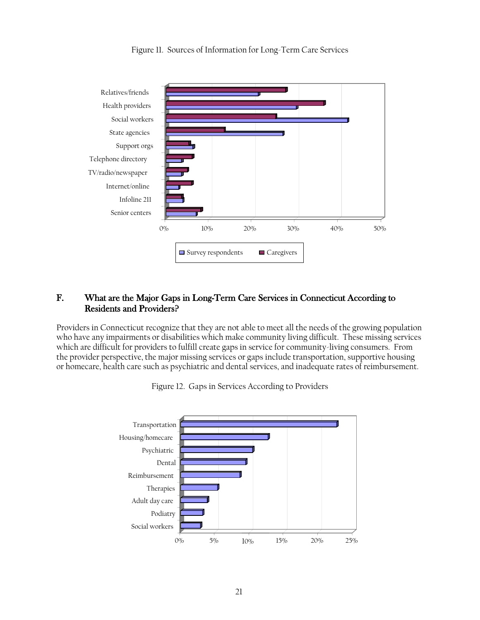



#### F. What are the Major Gaps in Long-Term Care Services in Connecticut According to Residents and Providers?

Providers in Connecticut recognize that they are not able to meet all the needs of the growing population who have any impairments or disabilities which make community living difficult. These missing services which are difficult for providers to fulfill create gaps in service for community-living consumers. From the provider perspective, the major missing services or gaps include transportation, supportive housing or homecare, health care such as psychiatric and dental services, and inadequate rates of reimbursement.



Figure 12. Gaps in Services According to Providers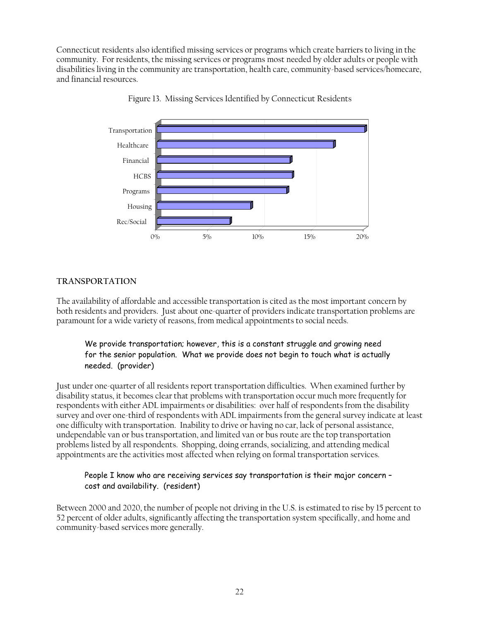Connecticut residents also identified missing services or programs which create barriers to living in the community. For residents, the missing services or programs most needed by older adults or people with disabilities living in the community are transportation, health care, community-based services/homecare, and financial resources.



Figure 13. Missing Services Identified by Connecticut Residents

#### **TRANSPORTATION**

The availability of affordable and accessible transportation is cited as the most important concern by both residents and providers. Just about one-quarter of providers indicate transportation problems are paramount for a wide variety of reasons, from medical appointments to social needs.

#### We provide transportation; however, this is a constant struggle and growing need for the senior population. What we provide does not begin to touch what is actually needed. (provider)

Just under one-quarter of all residents report transportation difficulties. When examined further by disability status, it becomes clear that problems with transportation occur much more frequently for respondents with either ADL impairments or disabilities: over half of respondents from the disability survey and over one-third of respondents with ADL impairments from the general survey indicate at least one difficulty with transportation. Inability to drive or having no car, lack of personal assistance, undependable van or bus transportation, and limited van or bus route are the top transportation problems listed by all respondents. Shopping, doing errands, socializing, and attending medical appointments are the activities most affected when relying on formal transportation services.

#### People I know who are receiving services say transportation is their major concern – cost and availability. (resident)

Between 2000 and 2020, the number of people not driving in the U.S. is estimated to rise by 15 percent to 52 percent of older adults, significantly affecting the transportation system specifically, and home and community-based services more generally.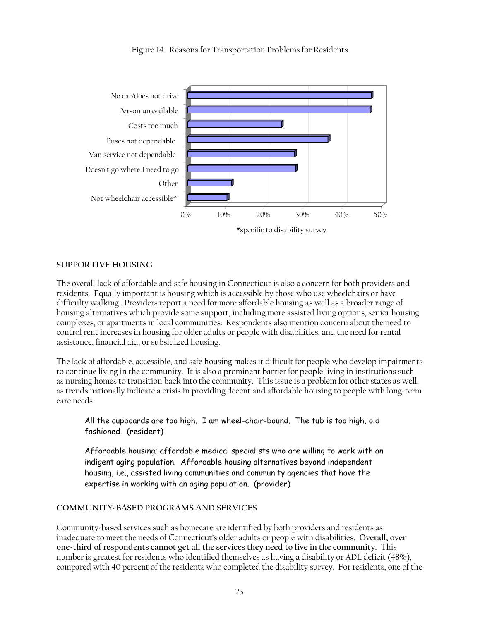

#### Figure 14. Reasons for Transportation Problems for Residents

#### **SUPPORTIVE HOUSING**

The overall lack of affordable and safe housing in Connecticut is also a concern for both providers and residents. Equally important is housing which is accessible by those who use wheelchairs or have difficulty walking. Providers report a need for more affordable housing as well as a broader range of housing alternatives which provide some support, including more assisted living options, senior housing complexes, or apartments in local communities. Respondents also mention concern about the need to control rent increases in housing for older adults or people with disabilities, and the need for rental assistance, financial aid, or subsidized housing.

The lack of affordable, accessible, and safe housing makes it difficult for people who develop impairments to continue living in the community. It is also a prominent barrier for people living in institutions such as nursing homes to transition back into the community. This issue is a problem for other states as well, as trends nationally indicate a crisis in providing decent and affordable housing to people with long-term care needs.

All the cupboards are too high. I am wheel-chair-bound. The tub is too high, old fashioned. (resident)

Affordable housing; affordable medical specialists who are willing to work with an indigent aging population. Affordable housing alternatives beyond independent housing, i.e., assisted living communities and community agencies that have the expertise in working with an aging population. (provider)

#### **COMMUNITY-BASED PROGRAMS AND SERVICES**

Community-based services such as homecare are identified by both providers and residents as inadequate to meet the needs of Connecticut's older adults or people with disabilities. **Overall, over one-third of respondents cannot get all the services they need to live in the community.** This number is greatest for residents who identified themselves as having a disability or ADL deficit (48%), compared with 40 percent of the residents who completed the disability survey. For residents, one of the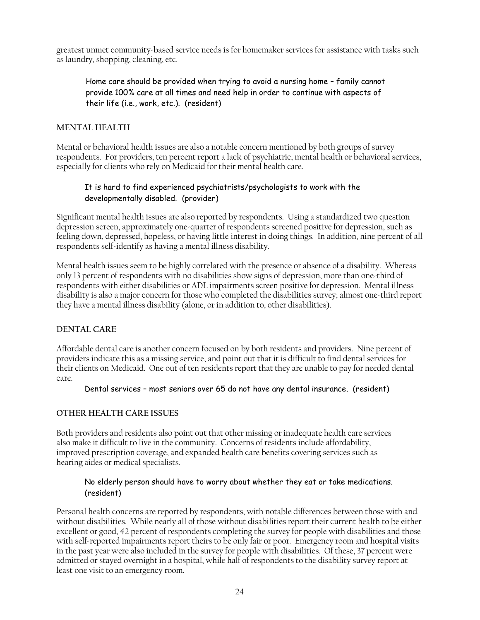greatest unmet community-based service needs is for homemaker services for assistance with tasks such as laundry, shopping, cleaning, etc.

Home care should be provided when trying to avoid a nursing home – family cannot provide 100% care at all times and need help in order to continue with aspects of their life (i.e., work, etc.). (resident)

#### **MENTAL HEALTH**

Mental or behavioral health issues are also a notable concern mentioned by both groups of survey respondents. For providers, ten percent report a lack of psychiatric, mental health or behavioral services, especially for clients who rely on Medicaid for their mental health care.

#### It is hard to find experienced psychiatrists/psychologists to work with the developmentally disabled. (provider)

Significant mental health issues are also reported by respondents. Using a standardized two question depression screen, approximately one-quarter of respondents screened positive for depression, such as feeling down, depressed, hopeless, or having little interest in doing things. In addition, nine percent of all respondents self-identify as having a mental illness disability.

Mental health issues seem to be highly correlated with the presence or absence of a disability. Whereas only 13 percent of respondents with no disabilities show signs of depression, more than one-third of respondents with either disabilities or ADL impairments screen positive for depression. Mental illness disability is also a major concern for those who completed the disabilities survey; almost one-third report they have a mental illness disability (alone, or in addition to, other disabilities).

#### **DENTAL CARE**

Affordable dental care is another concern focused on by both residents and providers. Nine percent of providers indicate this as a missing service, and point out that it is difficult to find dental services for their clients on Medicaid. One out of ten residents report that they are unable to pay for needed dental care.

Dental services – most seniors over 65 do not have any dental insurance. (resident)

#### **OTHER HEALTH CARE ISSUES**

Both providers and residents also point out that other missing or inadequate health care services also make it difficult to live in the community. Concerns of residents include affordability, improved prescription coverage, and expanded health care benefits covering services such as hearing aides or medical specialists.

#### No elderly person should have to worry about whether they eat or take medications. (resident)

Personal health concerns are reported by respondents, with notable differences between those with and without disabilities. While nearly all of those without disabilities report their current health to be either excellent or good, 42 percent of respondents completing the survey for people with disabilities and those with self-reported impairments report theirs to be only fair or poor. Emergency room and hospital visits in the past year were also included in the survey for people with disabilities. Of these, 37 percent were admitted or stayed overnight in a hospital, while half of respondents to the disability survey report at least one visit to an emergency room.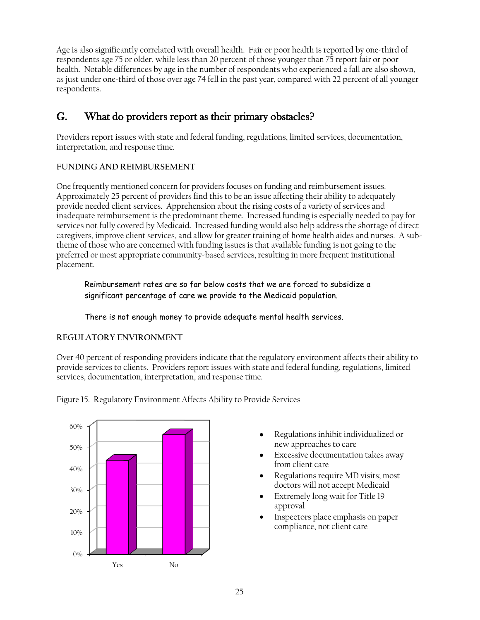Age is also significantly correlated with overall health. Fair or poor health is reported by one-third of respondents age 75 or older, while less than 20 percent of those younger than 75 report fair or poor health. Notable differences by age in the number of respondents who experienced a fall are also shown, as just under one-third of those over age 74 fell in the past year, compared with 22 percent of all younger respondents.

# G. What do providers report as their primary obstacles?

Providers report issues with state and federal funding, regulations, limited services, documentation, interpretation, and response time.

#### **FUNDING AND REIMBURSEMENT**

One frequently mentioned concern for providers focuses on funding and reimbursement issues. Approximately 25 percent of providers find this to be an issue affecting their ability to adequately provide needed client services. Apprehension about the rising costs of a variety of services and inadequate reimbursement is the predominant theme. Increased funding is especially needed to pay for services not fully covered by Medicaid. Increased funding would also help address the shortage of direct caregivers, improve client services, and allow for greater training of home health aides and nurses. A subtheme of those who are concerned with funding issues is that available funding is not going to the preferred or most appropriate community-based services, resulting in more frequent institutional placement.

Reimbursement rates are so far below costs that we are forced to subsidize a significant percentage of care we provide to the Medicaid population.

There is not enough money to provide adequate mental health services.

## **REGULATORY ENVIRONMENT**

Over 40 percent of responding providers indicate that the regulatory environment affects their ability to provide services to clients. Providers report issues with state and federal funding, regulations, limited services, documentation, interpretation, and response time.



Figure 15. Regulatory Environment Affects Ability to Provide Services

- Regulations inhibit individualized or new approaches to care
- Excessive documentation takes away from client care
- Regulations require MD visits; most doctors will not accept Medicaid
- Extremely long wait for Title 19 approval
- Inspectors place emphasis on paper compliance, not client care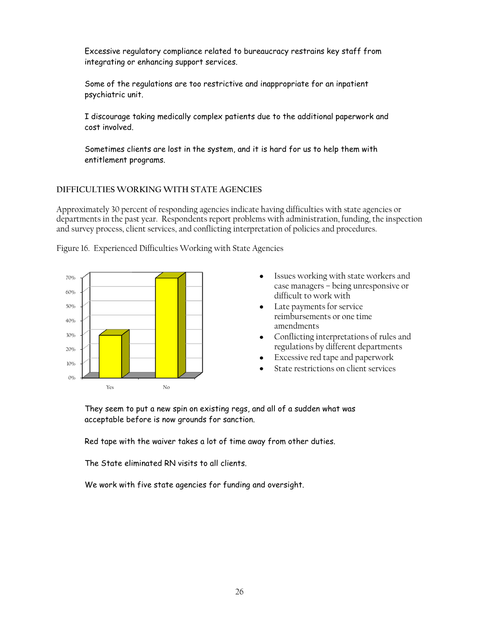Excessive regulatory compliance related to bureaucracy restrains key staff from integrating or enhancing support services.

Some of the regulations are too restrictive and inappropriate for an inpatient psychiatric unit.

I discourage taking medically complex patients due to the additional paperwork and cost involved.

Sometimes clients are lost in the system, and it is hard for us to help them with entitlement programs.

#### **DIFFICULTIES WORKING WITH STATE AGENCIES**

Approximately 30 percent of responding agencies indicate having difficulties with state agencies or departments in the past year. Respondents report problems with administration, funding, the inspection and survey process, client services, and conflicting interpretation of policies and procedures.

Figure 16. Experienced Difficulties Working with State Agencies



- Issues working with state workers and  $\bullet$ case managers – being unresponsive or difficult to work with
- Late payments for service reimbursements or one time amendments
- Conflicting interpretations of rules and regulations by different departments
- Excessive red tape and paperwork
- State restrictions on client services

They seem to put a new spin on existing regs, and all of a sudden what was acceptable before is now grounds for sanction.

Red tape with the waiver takes a lot of time away from other duties.

The State eliminated RN visits to all clients.

We work with five state agencies for funding and oversight.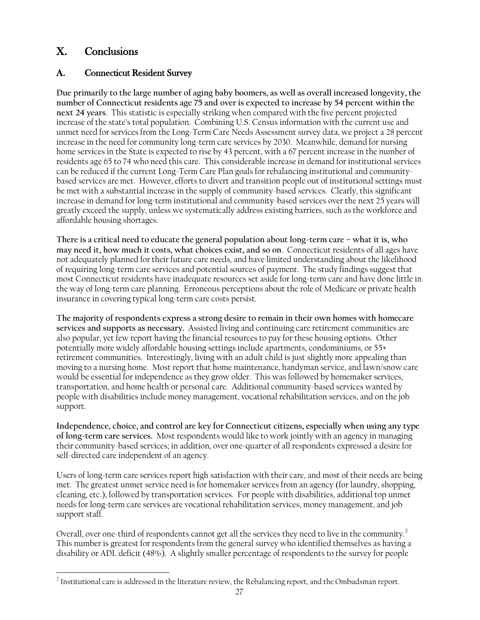# X. Conclusions

# A. Connecticut Resident Survey

**Due primarily to the large number of aging baby boomers, as well as overall increased longevity, the number of Connecticut residents age 75 and over is expected to increase by 54 percent within the next 24 years**. This statistic is especially striking when compared with the five percent projected increase of the state's total population. Combining U.S. Census information with the current use and unmet need for services from the Long-Term Care Needs Assessment survey data, we project a 28 percent increase in the need for community long-term care services by 2030. Meanwhile, demand for nursing home services in the State is expected to rise by 43 percent, with a 67 percent increase in the number of residents age 65 to 74 who need this care. This considerable increase in demand for institutional services can be reduced if the current Long-Term Care Plan goals for rebalancing institutional and communitybased services are met. However, efforts to divert and transition people out of institutional settings must be met with a substantial increase in the supply of community-based services. Clearly, this significant increase in demand for long-term institutional and community-based services over the next 25 years will greatly exceed the supply, unless we systematically address existing barriers, such as the workforce and affordable housing shortages.

**There is a critical need to educate the general population about long-term care – what it is, who may need it, how much it costs, what choices exist, and so on**. Connecticut residents of all ages have not adequately planned for their future care needs, and have limited understanding about the likelihood of requiring long-term care services and potential sources of payment. The study findings suggest that most Connecticut residents have inadequate resources set aside for long-term care and have done little in the way of long-term care planning. Erroneous perceptions about the role of Medicare or private health insurance in covering typical long-term care costs persist.

**The majority of respondents express a strong desire to remain in their own homes with homecare services and supports as necessary.** Assisted living and continuing care retirement communities are also popular, yet few report having the financial resources to pay for these housing options. Other potentially more widely affordable housing settings include apartments, condominiums, or 55+ retirement communities. Interestingly, living with an adult child is just slightly more appealing than moving to a nursing home. Most report that home maintenance, handyman service, and lawn/snow care would be essential for independence as they grow older. This was followed by homemaker services, transportation, and home health or personal care. Additional community-based services wanted by people with disabilities include money management, vocational rehabilitation services, and on the job support.

**Independence, choice, and control are key for Connecticut citizens, especially when using any type of long-term care services.** Most respondents would like to work jointly with an agency in managing their community-based services; in addition, over one-quarter of all respondents expressed a desire for self-directed care independent of an agency.

Users of long-term care services report high satisfaction with their care, and most of their needs are being met. The greatest unmet service need is for homemaker services from an agency (for laundry, shopping, cleaning, etc.), followed by transportation services. For people with disabilities, additional top unmet needs for long-term care services are vocational rehabilitation services, money management, and job support staff.

Overall, over one-third of respondents cannot get all the services they need to live in the community. $^2$ This number is greatest for respondents from the general survey who identified themselves as having a disability or ADL deficit (48%). A slightly smaller percentage of respondents to the survey for people

 $\overline{a}$  $^2$  Institutional care is addressed in the literature review, the Rebalancing report, and the Ombudsman report.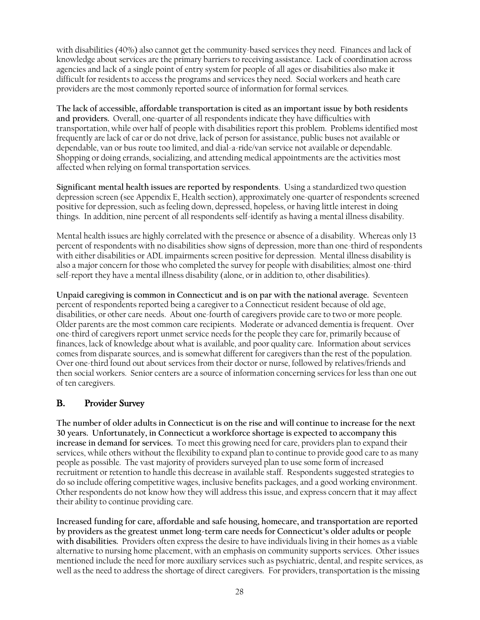with disabilities (40%) also cannot get the community-based services they need. Finances and lack of knowledge about services are the primary barriers to receiving assistance. Lack of coordination across agencies and lack of a single point of entry system for people of all ages or disabilities also make it difficult for residents to access the programs and services they need. Social workers and heath care providers are the most commonly reported source of information for formal services.

**The lack of accessible, affordable transportation is cited as an important issue by both residents and providers.** Overall, one-quarter of all respondents indicate they have difficulties with transportation, while over half of people with disabilities report this problem. Problems identified most frequently are lack of car or do not drive, lack of person for assistance, public buses not available or dependable, van or bus route too limited, and dial-a-ride/van service not available or dependable. Shopping or doing errands, socializing, and attending medical appointments are the activities most affected when relying on formal transportation services.

**Significant mental health issues are reported by respondents**. Using a standardized two question depression screen (see Appendix E, Health section), approximately one-quarter of respondents screened positive for depression, such as feeling down, depressed, hopeless, or having little interest in doing things. In addition, nine percent of all respondents self-identify as having a mental illness disability.

Mental health issues are highly correlated with the presence or absence of a disability. Whereas only 13 percent of respondents with no disabilities show signs of depression, more than one-third of respondents with either disabilities or ADL impairments screen positive for depression. Mental illness disability is also a major concern for those who completed the survey for people with disabilities; almost one-third self-report they have a mental illness disability (alone, or in addition to, other disabilities).

**Unpaid caregiving is common in Connecticut and is on par with the national average.** Seventeen percent of respondents reported being a caregiver to a Connecticut resident because of old age, disabilities, or other care needs. About one-fourth of caregivers provide care to two or more people. Older parents are the most common care recipients. Moderate or advanced dementia is frequent. Over one-third of caregivers report unmet service needs for the people they care for, primarily because of finances, lack of knowledge about what is available, and poor quality care. Information about services comes from disparate sources, and is somewhat different for caregivers than the rest of the population. Over one-third found out about services from their doctor or nurse, followed by relatives/friends and then social workers. Senior centers are a source of information concerning services for less than one out of ten caregivers.

## B. Provider Survey

**The number of older adults in Connecticut is on the rise and will continue to increase for the next 30 years. Unfortunately, in Connecticut a workforce shortage is expected to accompany this increase in demand for services.** To meet this growing need for care, providers plan to expand their services, while others without the flexibility to expand plan to continue to provide good care to as many people as possible. The vast majority of providers surveyed plan to use some form of increased recruitment or retention to handle this decrease in available staff. Respondents suggested strategies to do so include offering competitive wages, inclusive benefits packages, and a good working environment. Other respondents do not know how they will address this issue, and express concern that it may affect their ability to continue providing care.

**Increased funding for care, affordable and safe housing, homecare, and transportation are reported by providers as the greatest unmet long-term care needs for Connecticut's older adults or people with disabilities.** Providers often express the desire to have individuals living in their homes as a viable alternative to nursing home placement, with an emphasis on community supports services. Other issues mentioned include the need for more auxiliary services such as psychiatric, dental, and respite services, as well as the need to address the shortage of direct caregivers. For providers, transportation is the missing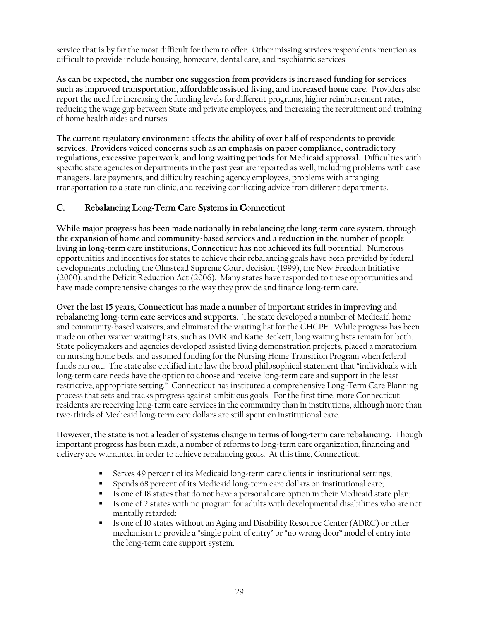service that is by far the most difficult for them to offer. Other missing services respondents mention as difficult to provide include housing, homecare, dental care, and psychiatric services.

**As can be expected, the number one suggestion from providers is increased funding for services such as improved transportation, affordable assisted living, and increased home care.** Providers also report the need for increasing the funding levels for different programs, higher reimbursement rates, reducing the wage gap between State and private employees, and increasing the recruitment and training of home health aides and nurses.

**The current regulatory environment affects the ability of over half of respondents to provide services. Providers voiced concerns such as an emphasis on paper compliance, contradictory regulations, excessive paperwork, and long waiting periods for Medicaid approval.** Difficulties with specific state agencies or departments in the past year are reported as well, including problems with case managers, late payments, and difficulty reaching agency employees, problems with arranging transportation to a state run clinic, and receiving conflicting advice from different departments.

## C. Rebalancing Long-Term Care Systems in Connecticut

**While major progress has been made nationally in rebalancing the long-term care system, through the expansion of home and community-based services and a reduction in the number of people living in long-term care institutions, Connecticut has not achieved its full potential.** Numerous opportunities and incentives for states to achieve their rebalancing goals have been provided by federal developments including the Olmstead Supreme Court decision (1999), the New Freedom Initiative (2000), and the Deficit Reduction Act (2006). Many states have responded to these opportunities and have made comprehensive changes to the way they provide and finance long-term care.

**Over the last 15 years, Connecticut has made a number of important strides in improving and rebalancing long-term care services and supports.** The state developed a number of Medicaid home and community-based waivers, and eliminated the waiting list for the CHCPE. While progress has been made on other waiver waiting lists, such as DMR and Katie Beckett, long waiting lists remain for both. State policymakers and agencies developed assisted living demonstration projects, placed a moratorium on nursing home beds, and assumed funding for the Nursing Home Transition Program when federal funds ran out. The state also codified into law the broad philosophical statement that "individuals with long-term care needs have the option to choose and receive long-term care and support in the least restrictive, appropriate setting." Connecticut has instituted a comprehensive Long-Term Care Planning process that sets and tracks progress against ambitious goals. For the first time, more Connecticut residents are receiving long-term care services in the community than in institutions, although more than two-thirds of Medicaid long-term care dollars are still spent on institutional care.

**However, the state is not a leader of systems change in terms of long-term care rebalancing.** Though important progress has been made, a number of reforms to long-term care organization, financing and delivery are warranted in order to achieve rebalancing goals. At this time, Connecticut:

- Serves 49 percent of its Medicaid long-term care clients in institutional settings;
- **Spends 68 percent of its Medicaid long-term care dollars on institutional care;**
- Is one of 18 states that do not have a personal care option in their Medicaid state plan;
- Is one of 2 states with no program for adults with developmental disabilities who are not mentally retarded;
- Is one of 10 states without an Aging and Disability Resource Center (ADRC) or other mechanism to provide a "single point of entry" or "no wrong door" model of entry into the long-term care support system.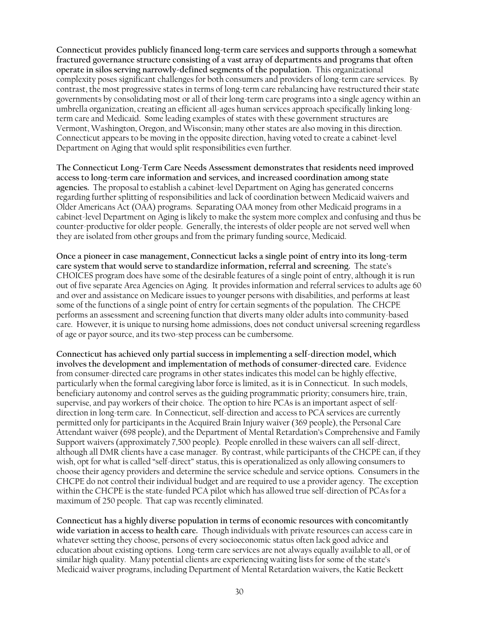**Connecticut provides publicly financed long-term care services and supports through a somewhat fractured governance structure consisting of a vast array of departments and programs that often operate in silos serving narrowly-defined segments of the population.** This organizational complexity poses significant challenges for both consumers and providers of long-term care services. By contrast, the most progressive states in terms of long-term care rebalancing have restructured their state governments by consolidating most or all of their long-term care programs into a single agency within an umbrella organization, creating an efficient all-ages human services approach specifically linking longterm care and Medicaid. Some leading examples of states with these government structures are Vermont, Washington, Oregon, and Wisconsin; many other states are also moving in this direction. Connecticut appears to be moving in the opposite direction, having voted to create a cabinet-level Department on Aging that would split responsibilities even further.

**The Connecticut Long-Term Care Needs Assessment demonstrates that residents need improved access to long-term care information and services, and increased coordination among state agencies.** The proposal to establish a cabinet-level Department on Aging has generated concerns regarding further splitting of responsibilities and lack of coordination between Medicaid waivers and Older Americans Act (OAA) programs. Separating OAA money from other Medicaid programs in a cabinet-level Department on Aging is likely to make the system more complex and confusing and thus be counter-productive for older people. Generally, the interests of older people are not served well when they are isolated from other groups and from the primary funding source, Medicaid.

**Once a pioneer in case management, Connecticut lacks a single point of entry into its long-term care system that would serve to standardize information, referral and screening.** The state's CHOICES program does have some of the desirable features of a single point of entry, although it is run out of five separate Area Agencies on Aging. It provides information and referral services to adults age 60 and over and assistance on Medicare issues to younger persons with disabilities, and performs at least some of the functions of a single point of entry for certain segments of the population. The CHCPE performs an assessment and screening function that diverts many older adults into community-based care. However, it is unique to nursing home admissions, does not conduct universal screening regardless of age or payor source, and its two-step process can be cumbersome.

**Connecticut has achieved only partial success in implementing a self-direction model, which involves the development and implementation of methods of consumer-directed care.** Evidence from consumer-directed care programs in other states indicates this model can be highly effective, particularly when the formal caregiving labor force is limited, as it is in Connecticut. In such models, beneficiary autonomy and control serves as the guiding programmatic priority; consumers hire, train, supervise, and pay workers of their choice. The option to hire PCAs is an important aspect of selfdirection in long-term care. In Connecticut, self-direction and access to PCA services are currently permitted only for participants in the Acquired Brain Injury waiver (369 people), the Personal Care Attendant waiver (698 people), and the Department of Mental Retardation's Comprehensive and Family Support waivers (approximately 7,500 people). People enrolled in these waivers can all self-direct, although all DMR clients have a case manager. By contrast, while participants of the CHCPE can, if they wish, opt for what is called "self-direct" status, this is operationalized as only allowing consumers to choose their agency providers and determine the service schedule and service options. Consumers in the CHCPE do not control their individual budget and are required to use a provider agency. The exception within the CHCPE is the state-funded PCA pilot which has allowed true self-direction of PCAs for a maximum of 250 people. That cap was recently eliminated.

**Connecticut has a highly diverse population in terms of economic resources with concomitantly wide variation in access to health care.** Though individuals with private resources can access care in whatever setting they choose, persons of every socioeconomic status often lack good advice and education about existing options. Long-term care services are not always equally available to all, or of similar high quality. Many potential clients are experiencing waiting lists for some of the state's Medicaid waiver programs, including Department of Mental Retardation waivers, the Katie Beckett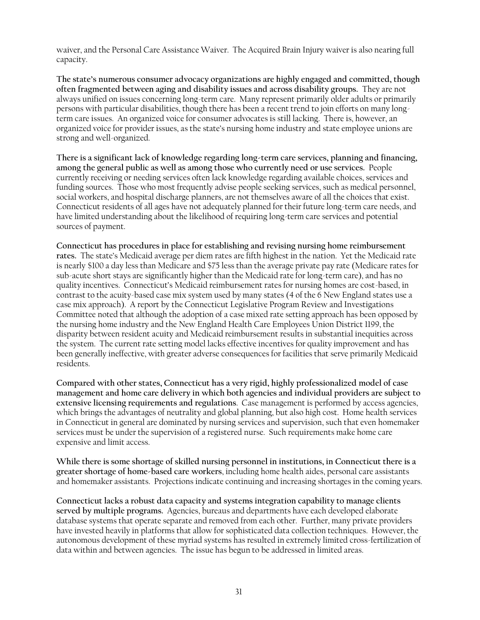waiver, and the Personal Care Assistance Waiver. The Acquired Brain Injury waiver is also nearing full capacity.

**The state's numerous consumer advocacy organizations are highly engaged and committed, though often fragmented between aging and disability issues and across disability groups.** They are not always unified on issues concerning long-term care. Many represent primarily older adults or primarily persons with particular disabilities, though there has been a recent trend to join efforts on many longterm care issues. An organized voice for consumer advocates is still lacking. There is, however, an organized voice for provider issues, as the state's nursing home industry and state employee unions are strong and well-organized.

**There is a significant lack of knowledge regarding long-term care services, planning and financing, among the general public as well as among those who currently need or use services.** People currently receiving or needing services often lack knowledge regarding available choices, services and funding sources. Those who most frequently advise people seeking services, such as medical personnel, social workers, and hospital discharge planners, are not themselves aware of all the choices that exist. Connecticut residents of all ages have not adequately planned for their future long-term care needs, and have limited understanding about the likelihood of requiring long-term care services and potential sources of payment.

**Connecticut has procedures in place for establishing and revising nursing home reimbursement rates.** The state's Medicaid average per diem rates are fifth highest in the nation. Yet the Medicaid rate is nearly \$100 a day less than Medicare and \$75 less than the average private pay rate (Medicare rates for sub-acute short stays are significantly higher than the Medicaid rate for long-term care), and has no quality incentives. Connecticut's Medicaid reimbursement rates for nursing homes are cost-based, in contrast to the acuity-based case mix system used by many states (4 of the 6 New England states use a case mix approach). A report by the Connecticut Legislative Program Review and Investigations Committee noted that although the adoption of a case mixed rate setting approach has been opposed by the nursing home industry and the New England Health Care Employees Union District 1199, the disparity between resident acuity and Medicaid reimbursement results in substantial inequities across the system. The current rate setting model lacks effective incentives for quality improvement and has been generally ineffective, with greater adverse consequences for facilities that serve primarily Medicaid residents.

**Compared with other states, Connecticut has a very rigid, highly professionalized model of case management and home care delivery in which both agencies and individual providers are subject to extensive licensing requirements and regulations**. Case management is performed by access agencies, which brings the advantages of neutrality and global planning, but also high cost. Home health services in Connecticut in general are dominated by nursing services and supervision, such that even homemaker services must be under the supervision of a registered nurse. Such requirements make home care expensive and limit access.

**While there is some shortage of skilled nursing personnel in institutions, in Connecticut there is a greater shortage of home-based care workers**, including home health aides, personal care assistants and homemaker assistants. Projections indicate continuing and increasing shortages in the coming years.

**Connecticut lacks a robust data capacity and systems integration capability to manage clients served by multiple programs.** Agencies, bureaus and departments have each developed elaborate database systems that operate separate and removed from each other. Further, many private providers have invested heavily in platforms that allow for sophisticated data collection techniques. However, the autonomous development of these myriad systems has resulted in extremely limited cross-fertilization of data within and between agencies. The issue has begun to be addressed in limited areas.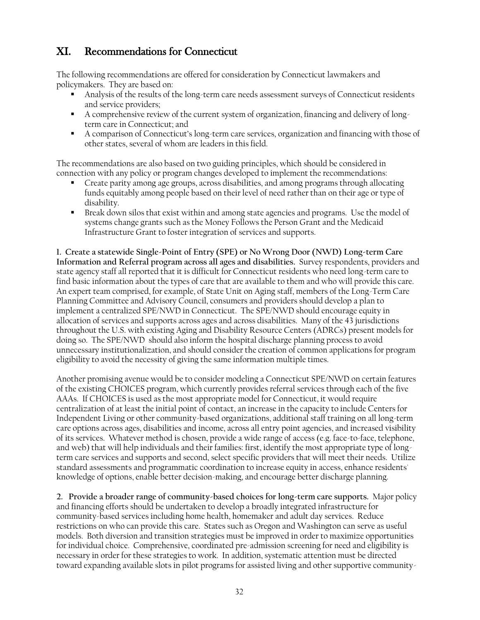# XI. Recommendations for Connecticut

The following recommendations are offered for consideration by Connecticut lawmakers and policymakers. They are based on:

- Analysis of the results of the long-term care needs assessment surveys of Connecticut residents and service providers;
- A comprehensive review of the current system of organization, financing and delivery of longterm care in Connecticut; and
- A comparison of Connecticut's long-term care services, organization and financing with those of other states, several of whom are leaders in this field.

The recommendations are also based on two guiding principles, which should be considered in connection with any policy or program changes developed to implement the recommendations:

- Create parity among age groups, across disabilities, and among programs through allocating funds equitably among people based on their level of need rather than on their age or type of disability.
- Break down silos that exist within and among state agencies and programs. Use the model of systems change grants such as the Money Follows the Person Grant and the Medicaid Infrastructure Grant to foster integration of services and supports.

**1. Create a statewide Single-Point of Entry (SPE) or No Wrong Door (NWD) Long-term Care Information and Referral program across all ages and disabilities.** Survey respondents, providers and state agency staff all reported that it is difficult for Connecticut residents who need long-term care to find basic information about the types of care that are available to them and who will provide this care. An expert team comprised, for example, of State Unit on Aging staff, members of the Long-Term Care Planning Committee and Advisory Council, consumers and providers should develop a plan to implement a centralized SPE/NWD in Connecticut. The SPE/NWD should encourage equity in allocation of services and supports across ages and across disabilities. Many of the 43 jurisdictions throughout the U.S. with existing Aging and Disability Resource Centers (ADRCs) present models for doing so. The SPE/NWD should also inform the hospital discharge planning process to avoid unnecessary institutionalization, and should consider the creation of common applications for program eligibility to avoid the necessity of giving the same information multiple times.

Another promising avenue would be to consider modeling a Connecticut SPE/NWD on certain features of the existing CHOICES program, which currently provides referral services through each of the five AAAs. If CHOICES is used as the most appropriate model for Connecticut, it would require centralization of at least the initial point of contact, an increase in the capacity to include Centers for Independent Living or other community-based organizations, additional staff training on all long-term care options across ages, disabilities and income, across all entry point agencies, and increased visibility of its services. Whatever method is chosen, provide a wide range of access (e.g. face-to-face, telephone, and web) that will help individuals and their families: first, identify the most appropriate type of longterm care services and supports and second, select specific providers that will meet their needs. Utilize standard assessments and programmatic coordination to increase equity in access, enhance residents' knowledge of options, enable better decision-making, and encourage better discharge planning.

**2. Provide a broader range of community-based choices for long-term care supports.** Major policy and financing efforts should be undertaken to develop a broadly integrated infrastructure for community-based services including home health, homemaker and adult day services. Reduce restrictions on who can provide this care. States such as Oregon and Washington can serve as useful models. Both diversion and transition strategies must be improved in order to maximize opportunities for individual choice. Comprehensive, coordinated pre-admission screening for need and eligibility is necessary in order for these strategies to work. In addition, systematic attention must be directed toward expanding available slots in pilot programs for assisted living and other supportive community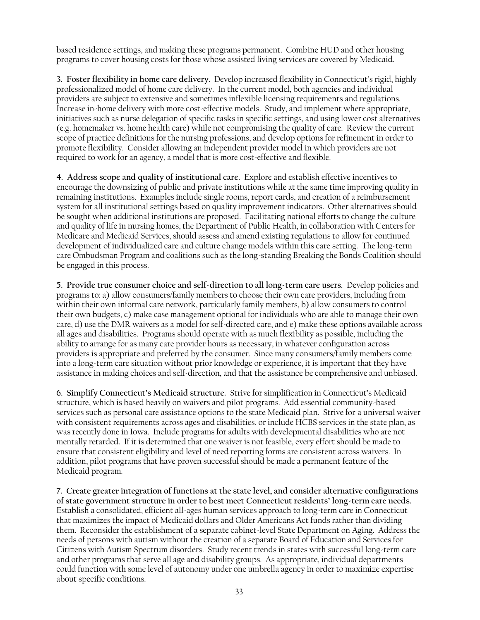based residence settings, and making these programs permanent. Combine HUD and other housing programs to cover housing costs for those whose assisted living services are covered by Medicaid.

**3. Foster flexibility in home care delivery**. Develop increased flexibility in Connecticut's rigid, highly professionalized model of home care delivery. In the current model, both agencies and individual providers are subject to extensive and sometimes inflexible licensing requirements and regulations. Increase in-home delivery with more cost-effective models. Study, and implement where appropriate, initiatives such as nurse delegation of specific tasks in specific settings, and using lower cost alternatives (e.g. homemaker vs. home health care) while not compromising the quality of care. Review the current scope of practice definitions for the nursing professions, and develop options for refinement in order to promote flexibility. Consider allowing an independent provider model in which providers are not required to work for an agency, a model that is more cost-effective and flexible.

**4. Address scope and quality of institutional care.** Explore and establish effective incentives to encourage the downsizing of public and private institutions while at the same time improving quality in remaining institutions. Examples include single rooms, report cards, and creation of a reimbursement system for all institutional settings based on quality improvement indicators. Other alternatives should be sought when additional institutions are proposed. Facilitating national efforts to change the culture and quality of life in nursing homes, the Department of Public Health, in collaboration with Centers for Medicare and Medicaid Services, should assess and amend existing regulations to allow for continued development of individualized care and culture change models within this care setting. The long-term care Ombudsman Program and coalitions such as the long-standing Breaking the Bonds Coalition should be engaged in this process.

**5. Provide true consumer choice and self-direction to all long-term care users.** Develop policies and programs to: a) allow consumers/family members to choose their own care providers, including from within their own informal care network, particularly family members, b) allow consumers to control their own budgets, c) make case management optional for individuals who are able to manage their own care, d) use the DMR waivers as a model for self-directed care, and e) make these options available across all ages and disabilities. Programs should operate with as much flexibility as possible, including the ability to arrange for as many care provider hours as necessary, in whatever configuration across providers is appropriate and preferred by the consumer. Since many consumers/family members come into a long-term care situation without prior knowledge or experience, it is important that they have assistance in making choices and self-direction, and that the assistance be comprehensive and unbiased.

**6. Simplify Connecticut's Medicaid structure.** Strive for simplification in Connecticut's Medicaid structure, which is based heavily on waivers and pilot programs. Add essential community-based services such as personal care assistance options to the state Medicaid plan. Strive for a universal waiver with consistent requirements across ages and disabilities, or include HCBS services in the state plan, as was recently done in Iowa. Include programs for adults with developmental disabilities who are not mentally retarded. If it is determined that one waiver is not feasible, every effort should be made to ensure that consistent eligibility and level of need reporting forms are consistent across waivers. In addition, pilot programs that have proven successful should be made a permanent feature of the Medicaid program.

**7. Create greater integration of functions at the state level, and consider alternative configurations of state government structure in order to best meet Connecticut residents' long-term care needs.**  Establish a consolidated, efficient all-ages human services approach to long-term care in Connecticut that maximizes the impact of Medicaid dollars and Older Americans Act funds rather than dividing them. Reconsider the establishment of a separate cabinet-level State Department on Aging. Address the needs of persons with autism without the creation of a separate Board of Education and Services for Citizens with Autism Spectrum disorders. Study recent trends in states with successful long-term care and other programs that serve all age and disability groups. As appropriate, individual departments could function with some level of autonomy under one umbrella agency in order to maximize expertise about specific conditions.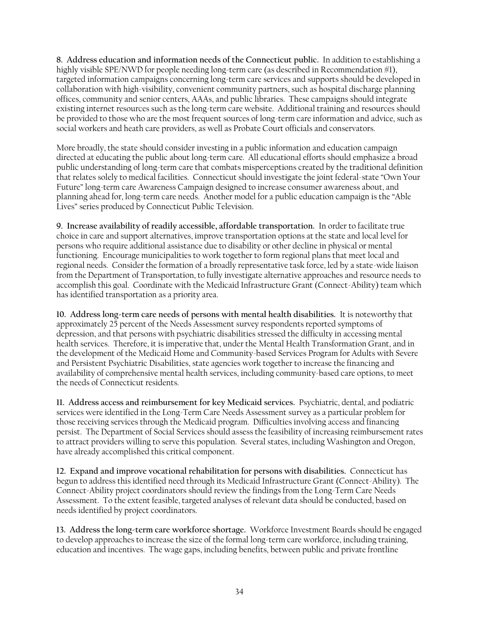**8. Address education and information needs of the Connecticut public.** In addition to establishing a highly visible SPE/NWD for people needing long-term care (as described in Recommendation #1), targeted information campaigns concerning long-term care services and supports should be developed in collaboration with high-visibility, convenient community partners, such as hospital discharge planning offices, community and senior centers, AAAs, and public libraries. These campaigns should integrate existing internet resources such as the long-term care website. Additional training and resources should be provided to those who are the most frequent sources of long-term care information and advice, such as social workers and heath care providers, as well as Probate Court officials and conservators.

More broadly, the state should consider investing in a public information and education campaign directed at educating the public about long-term care. All educational efforts should emphasize a broad public understanding of long-term care that combats misperceptions created by the traditional definition that relates solely to medical facilities. Connecticut should investigate the joint federal-state "Own Your Future" long-term care Awareness Campaign designed to increase consumer awareness about, and planning ahead for, long-term care needs. Another model for a public education campaign is the "Able Lives" series produced by Connecticut Public Television.

**9. Increase availability of readily accessible, affordable transportation.** In order to facilitate true choice in care and support alternatives, improve transportation options at the state and local level for persons who require additional assistance due to disability or other decline in physical or mental functioning. Encourage municipalities to work together to form regional plans that meet local and regional needs. Consider the formation of a broadly representative task force, led by a state-wide liaison from the Department of Transportation, to fully investigate alternative approaches and resource needs to accomplish this goal. Coordinate with the Medicaid Infrastructure Grant (Connect-Ability) team which has identified transportation as a priority area.

**10. Address long-term care needs of persons with mental health disabilities.** It is noteworthy that approximately 25 percent of the Needs Assessment survey respondents reported symptoms of depression, and that persons with psychiatric disabilities stressed the difficulty in accessing mental health services. Therefore, it is imperative that, under the Mental Health Transformation Grant, and in the development of the Medicaid Home and Community-based Services Program for Adults with Severe and Persistent Psychiatric Disabilities, state agencies work together to increase the financing and availability of comprehensive mental health services, including community-based care options, to meet the needs of Connecticut residents.

**11. Address access and reimbursement for key Medicaid services.** Psychiatric, dental, and podiatric services were identified in the Long-Term Care Needs Assessment survey as a particular problem for those receiving services through the Medicaid program. Difficulties involving access and financing persist. The Department of Social Services should assess the feasibility of increasing reimbursement rates to attract providers willing to serve this population. Several states, including Washington and Oregon, have already accomplished this critical component.

**12. Expand and improve vocational rehabilitation for persons with disabilities.** Connecticut has begun to address this identified need through its Medicaid Infrastructure Grant (Connect-Ability). The Connect-Ability project coordinators should review the findings from the Long-Term Care Needs Assessment. To the extent feasible, targeted analyses of relevant data should be conducted, based on needs identified by project coordinators.

**13. Address the long-term care workforce shortage.** Workforce Investment Boards should be engaged to develop approaches to increase the size of the formal long-term care workforce, including training, education and incentives. The wage gaps, including benefits, between public and private frontline